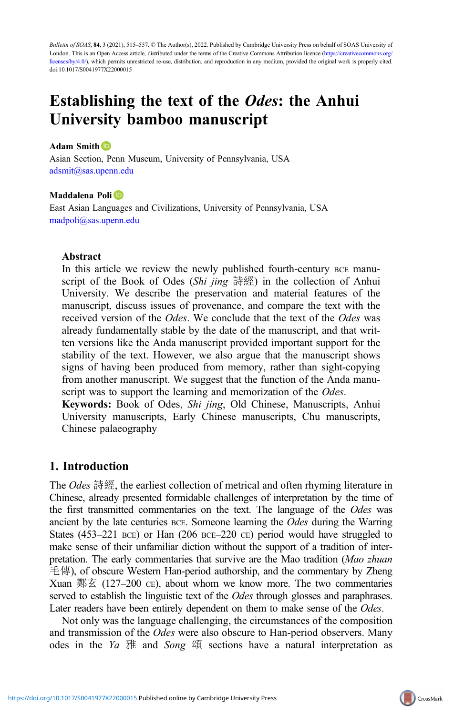Bulletin of SOAS, 84, 3 (2021), 515–557. © The Author(s), 2022. Published by Cambridge University Press on behalf of SOAS University of London. This is an Open Access article, distributed under the terms of the Creative Commons Attribution licence [\(https://creativecommons.org/](https://creativecommons.org/licenses/by/4.0/) [licenses/by/4.0/\)](https://creativecommons.org/licenses/by/4.0/), which permits unrestricted re-use, distribution, and reproduction in any medium, provided the original work is properly cited. doi:10.1017/S0041977X22000015

# Establishing the text of the Odes: the Anhui University bamboo manuscript

#### Adam Smith **D**

Asian Section, Penn Museum, University of Pennsylvania, USA [adsmit@sas.upenn.edu](mailto:adsmit@sas.upenn.edu)

#### Maddalena Poli<sup>D</sup>

East Asian Languages and Civilizations, University of Pennsylvania, USA [madpoli@sas.upenn.edu](mailto:madpoli@sas.upenn.edu)

## Abstract

In this article we review the newly published fourth-century BCE manuscript of the Book of Odes (Shi jing 詩經) in the collection of Anhui University. We describe the preservation and material features of the manuscript, discuss issues of provenance, and compare the text with the received version of the *Odes*. We conclude that the text of the *Odes* was already fundamentally stable by the date of the manuscript, and that written versions like the Anda manuscript provided important support for the stability of the text. However, we also argue that the manuscript shows signs of having been produced from memory, rather than sight-copying from another manuscript. We suggest that the function of the Anda manuscript was to support the learning and memorization of the *Odes*.

Keywords: Book of Odes, Shi jing, Old Chinese, Manuscripts, Anhui University manuscripts, Early Chinese manuscripts, Chu manuscripts, Chinese palaeography

## 1. Introduction

The Odes 詩經, the earliest collection of metrical and often rhyming literature in Chinese, already presented formidable challenges of interpretation by the time of the first transmitted commentaries on the text. The language of the *Odes* was ancient by the late centuries BCE. Someone learning the *Odes* during the Warring States (453–221 BCE) or Han (206 BCE–220 CE) period would have struggled to make sense of their unfamiliar diction without the support of a tradition of interpretation. The early commentaries that survive are the Mao tradition (Mao zhuan 毛傳), of obscure Western Han-period authorship, and the commentary by Zheng Xuan 鄭玄 (127–200 се), about whom we know more. The two commentaries served to establish the linguistic text of the *Odes* through glosses and paraphrases. Later readers have been entirely dependent on them to make sense of the *Odes*.

Not only was the language challenging, the circumstances of the composition and transmission of the Odes were also obscure to Han-period observers. Many odes in the Ya  $#$  and Song  $#$  sections have a natural interpretation as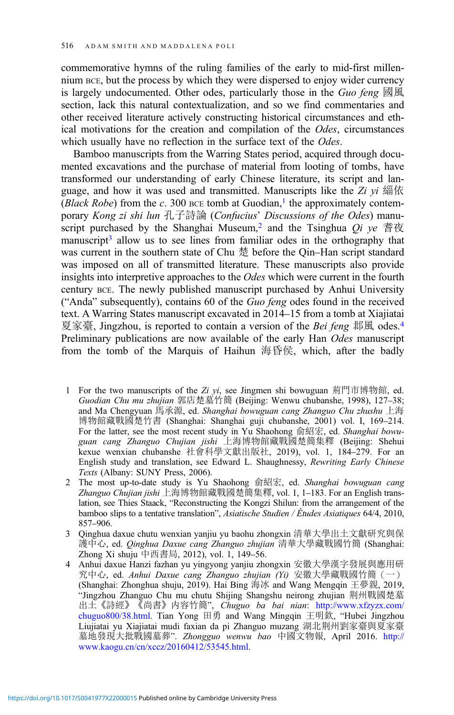commemorative hymns of the ruling families of the early to mid-first millennium BCE, but the process by which they were dispersed to enjoy wider currency is largely undocumented. Other odes, particularly those in the Guo feng  $\mathbb{B} \mathbb{R}$ section, lack this natural contextualization, and so we find commentaries and other received literature actively constructing historical circumstances and ethical motivations for the creation and compilation of the Odes, circumstances which usually have no reflection in the surface text of the *Odes*.

Bamboo manuscripts from the Warring States period, acquired through documented excavations and the purchase of material from looting of tombs, have transformed our understanding of early Chinese literature, its script and language, and how it was used and transmitted. Manuscripts like the  $Zi$  yi 緇依 (Black Robe) from the c. 300 BCE tomb at Guodian,<sup>1</sup> the approximately contemporary *Kong zi shi lun* 孔子詩論 (*Confucius*' *Discussions of the Odes*) manuscript purchased by the Shanghai Museum,<sup>2</sup> and the Tsinghua  $Qi$  ye 耆夜 manuscript<sup>3</sup> allow us to see lines from familiar odes in the orthography that was current in the southern state of Chu 楚 before the Qin–Han script standard was imposed on all of transmitted literature. These manuscripts also provide insights into interpretive approaches to the Odes which were current in the fourth century BCE. The newly published manuscript purchased by Anhui University ("Anda" subsequently), contains 60 of the Guo feng odes found in the received text. A Warring States manuscript excavated in 2014–15 from a tomb at Xiajiatai 夏家臺, Jingzhou, is reported to contain a version of the *Bei feng* 邶風 odes.<sup>4</sup> Preliminary publications are now available of the early Han Odes manuscript from the tomb of the Marquis of Haihun 海昏侯, which, after the badly

- 1 For the two manuscripts of the Zi  $yi$ , see Jingmen shi bowuguan 荊門市博物館, ed. Guodian Chu mu zhujian 郭店楚墓竹簡 (Beijing: Wenwu chubanshe, 1998), 127–38; and Ma Chengyuan 馬承源, ed. Shanghai bowuguan cang Zhanguo Chu zhushu 上海 博物館藏戰國楚竹書 (Shanghai: Shanghai guji chubanshe, 2001) vol. I, 169–214. For the latter, see the most recent study in Yu Shaohong 俞紹宏, ed. Shanghai bowuguan cang Zhanguo Chujian jishi 上海博物館藏戰國楚簡集釋 (Beijing: Shehui kexue wenxian chubanshe 社會科學文獻出版社, 2019), vol. 1, 184–279. For an English study and translation, see Edward L. Shaughnessy, Rewriting Early Chinese Texts (Albany: SUNY Press, 2006).
- 2 The most up-to-date study is Yu Shaohong 俞紹宏, ed. Shanghai bowuguan cang Zhanguo Chujian jishi 上海博物館藏戰國楚簡集釋, vol. 1, 1–183. For an English translation, see Thies Staack, "Reconstructing the Kongzi Shilun: from the arrangement of the bamboo slips to a tentative translation", Asiatische Studien / Études Asiatiques 64/4, 2010, 857–906.
- 3 Qinghua daxue chutu wenxian yanjiu yu baohu zhongxin 清華大學出土文獻研究與保 護中心, ed. *Qinghua Daxue cang Zhanguo zhujian* 清華大學藏戰國竹簡 (Shanghai: Zhong Xi shuju 中西書局, 2012), vol. 1, 149–56.
- 4 Anhui daxue Hanzi fazhan yu yingyong yanjiu zhongxin 安徽大學漢字發展與應用研 究中心, ed. Anhui Daxue cang Zhanguo zhujian (Yi) 安徽大學藏戰國竹簡(一) (Shanghai: Zhonghua shuju, 2019). Hai Bing 海冰 and Wang Mengqin 王夢親, 2019, "Jingzhou Zhanguo Chu mu chutu Shijing Shangshu neirong zhujian 荆州戰國楚墓 出土《詩經》《尚書》内容竹簡", Chuguo ba bai nian: [http://www.xfzyzx.com/](http://www.xfzyzx.com/chuguo800/38.html) [chuguo800/38.html](http://www.xfzyzx.com/chuguo800/38.html). Tian Yong 田勇 and Wang Mingqin 王明欽, "Hubei Jingzhou Liujiatai yu Xiajiatai mudi faxian da pi Zhanguo muzang 湖北荆州劉家臺與夏家臺 墓地發現大批戰國墓葬". Zhongguo wenwu bao 中國文物報, April 2016. [http://](http://www.kaogu.cn/cn/xccz/20160412/53545.html) [www.kaogu.cn/cn/xccz/20160412/53545.html](http://www.kaogu.cn/cn/xccz/20160412/53545.html).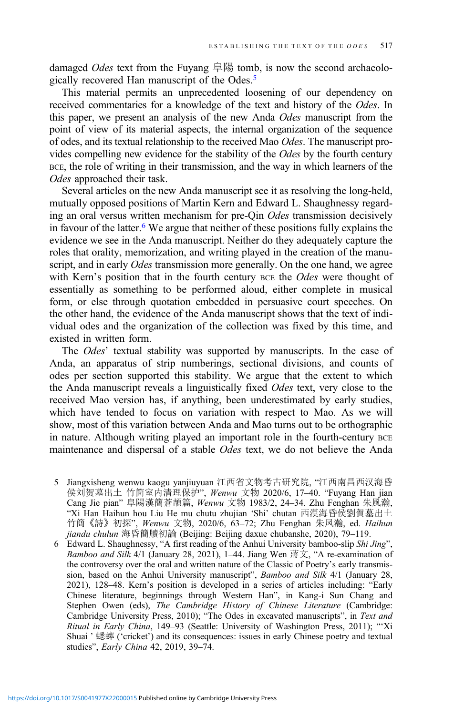damaged *Odes* text from the Fuyang 阜陽 tomb, is now the second archaeologically recovered Han manuscript of the Odes.5

This material permits an unprecedented loosening of our dependency on received commentaries for a knowledge of the text and history of the Odes. In this paper, we present an analysis of the new Anda Odes manuscript from the point of view of its material aspects, the internal organization of the sequence of odes, and its textual relationship to the received Mao Odes. The manuscript provides compelling new evidence for the stability of the *Odes* by the fourth century BCE, the role of writing in their transmission, and the way in which learners of the Odes approached their task.

Several articles on the new Anda manuscript see it as resolving the long-held, mutually opposed positions of Martin Kern and Edward L. Shaughnessy regarding an oral versus written mechanism for pre-Qin *Odes* transmission decisively in favour of the latter.<sup>6</sup> We argue that neither of these positions fully explains the evidence we see in the Anda manuscript. Neither do they adequately capture the roles that orality, memorization, and writing played in the creation of the manuscript, and in early *Odes* transmission more generally. On the one hand, we agree with Kern's position that in the fourth century BCE the Odes were thought of essentially as something to be performed aloud, either complete in musical form, or else through quotation embedded in persuasive court speeches. On the other hand, the evidence of the Anda manuscript shows that the text of individual odes and the organization of the collection was fixed by this time, and existed in written form.

The *Odes*' textual stability was supported by manuscripts. In the case of Anda, an apparatus of strip numberings, sectional divisions, and counts of odes per section supported this stability. We argue that the extent to which the Anda manuscript reveals a linguistically fixed Odes text, very close to the received Mao version has, if anything, been underestimated by early studies, which have tended to focus on variation with respect to Mao. As we will show, most of this variation between Anda and Mao turns out to be orthographic in nature. Although writing played an important role in the fourth-century BCE maintenance and dispersal of a stable Odes text, we do not believe the Anda

- 5 Jiangxisheng wenwu kaogu yanjiuyuan 江西省文物考古研究院, "江西南昌西汉海昏 侯刘贺墓出土 竹简室内清理保护", Wenwu 文物 2020/6, 17–40. "Fuyang Han jian Cang Jie pian" 阜陽漢簡蒼頡篇, Wenwu 文物 1983/2, 24–34. Zhu Fenghan 朱風瀚, "Xi Han Haihun hou Liu He mu chutu zhujian 'Shi' chutan 西漢海昏侯劉賀墓出土 竹簡《詩》初探", Wenwu 文物, 2020/6, 63–72; Zhu Fenghan 朱凤瀚, ed. Haihun jiandu chulun 海昏簡牘初論 (Beijing: Beijing daxue chubanshe, 2020), 79–119.
- 6 Edward L. Shaughnessy, "A first reading of the Anhui University bamboo-slip Shi Jing", Bamboo and Silk 4/1 (January 28, 2021), 1–44. Jiang Wen  $\mathbb{\ddot{R}}\mathbb{\ddot{X}}$ , "A re-examination of the controversy over the oral and written nature of the Classic of Poetry's early transmission, based on the Anhui University manuscript", Bamboo and Silk 4/1 (January 28, 2021), 128–48. Kern's position is developed in a series of articles including: "Early Chinese literature, beginnings through Western Han", in Kang-i Sun Chang and Stephen Owen (eds), The Cambridge History of Chinese Literature (Cambridge: Cambridge University Press, 2010); "The Odes in excavated manuscripts", in Text and Ritual in Early China, 149–93 (Seattle: University of Washington Press, 2011); "'Xi Shuai ' 蟋蟀 ('cricket') and its consequences: issues in early Chinese poetry and textual studies", Early China 42, 2019, 39–74.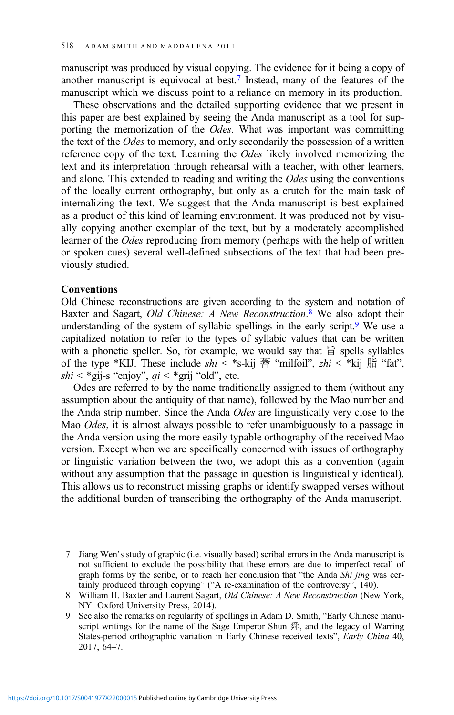manuscript was produced by visual copying. The evidence for it being a copy of another manuscript is equivocal at best.7 Instead, many of the features of the manuscript which we discuss point to a reliance on memory in its production.

These observations and the detailed supporting evidence that we present in this paper are best explained by seeing the Anda manuscript as a tool for supporting the memorization of the *Odes*. What was important was committing the text of the Odes to memory, and only secondarily the possession of a written reference copy of the text. Learning the Odes likely involved memorizing the text and its interpretation through rehearsal with a teacher, with other learners, and alone. This extended to reading and writing the Odes using the conventions of the locally current orthography, but only as a crutch for the main task of internalizing the text. We suggest that the Anda manuscript is best explained as a product of this kind of learning environment. It was produced not by visually copying another exemplar of the text, but by a moderately accomplished learner of the Odes reproducing from memory (perhaps with the help of written or spoken cues) several well-defined subsections of the text that had been previously studied.

#### Conventions

Old Chinese reconstructions are given according to the system and notation of Baxter and Sagart, Old Chinese: A New Reconstruction.<sup>8</sup> We also adopt their understanding of the system of syllabic spellings in the early script.<sup>9</sup> We use a capitalized notation to refer to the types of syllabic values that can be written with a phonetic speller. So, for example, we would say that  $\hat{H}$  spells syllables of the type \*KIJ. These include  $\sin$  < \*s-kij  $\ddot{\mathbb{F}}$  "milfoil",  $\sin$  < \*kij  $\ddot{\mathbb{F}}$  "fat", shi < \*gij-s "enjoy",  $qi <$  \*grij "old", etc.

Odes are referred to by the name traditionally assigned to them (without any assumption about the antiquity of that name), followed by the Mao number and the Anda strip number. Since the Anda Odes are linguistically very close to the Mao Odes, it is almost always possible to refer unambiguously to a passage in the Anda version using the more easily typable orthography of the received Mao version. Except when we are specifically concerned with issues of orthography or linguistic variation between the two, we adopt this as a convention (again without any assumption that the passage in question is linguistically identical). This allows us to reconstruct missing graphs or identify swapped verses without the additional burden of transcribing the orthography of the Anda manuscript.

<sup>7</sup> Jiang Wen's study of graphic (i.e. visually based) scribal errors in the Anda manuscript is not sufficient to exclude the possibility that these errors are due to imperfect recall of graph forms by the scribe, or to reach her conclusion that "the Anda Shi jing was certainly produced through copying" ("A re-examination of the controversy", 140).

<sup>8</sup> William H. Baxter and Laurent Sagart, Old Chinese: A New Reconstruction (New York, NY: Oxford University Press, 2014).

<sup>9</sup> See also the remarks on regularity of spellings in Adam D. Smith, "Early Chinese manuscript writings for the name of the Sage Emperor Shun  $\frac{64}{36}$ , and the legacy of Warring States-period orthographic variation in Early Chinese received texts", Early China 40, 2017, 64–7.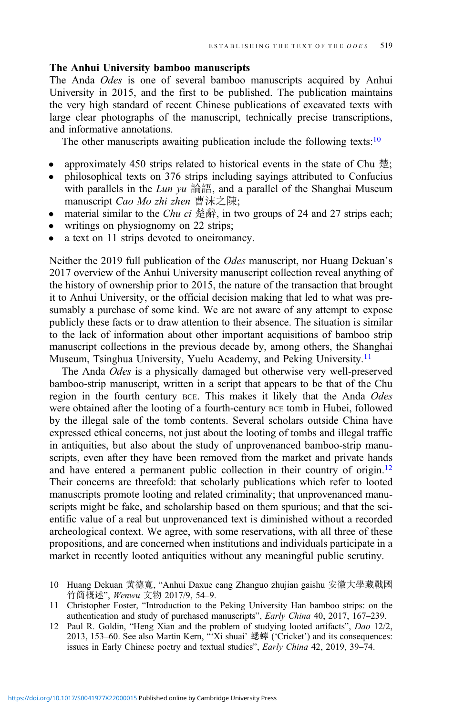## The Anhui University bamboo manuscripts

The Anda Odes is one of several bamboo manuscripts acquired by Anhui University in 2015, and the first to be published. The publication maintains the very high standard of recent Chinese publications of excavated texts with large clear photographs of the manuscript, technically precise transcriptions, and informative annotations.

The other manuscripts awaiting publication include the following texts:<sup>10</sup>

- approximately 450 strips related to historical events in the state of Chu 楚;
- philosophical texts on 376 strips including sayings attributed to Confucius with parallels in the Lun yu 論語, and a parallel of the Shanghai Museum manuscript Cao Mo zhi zhen 曹沫之陳;
- material similar to the *Chu ci* 楚辭, in two groups of 24 and 27 strips each;
- writings on physiognomy on 22 strips;
- a text on 11 strips devoted to oneiromancy.

Neither the 2019 full publication of the Odes manuscript, nor Huang Dekuan's 2017 overview of the Anhui University manuscript collection reveal anything of the history of ownership prior to 2015, the nature of the transaction that brought it to Anhui University, or the official decision making that led to what was presumably a purchase of some kind. We are not aware of any attempt to expose publicly these facts or to draw attention to their absence. The situation is similar to the lack of information about other important acquisitions of bamboo strip manuscript collections in the previous decade by, among others, the Shanghai Museum, Tsinghua University, Yuelu Academy, and Peking University.<sup>11</sup>

The Anda Odes is a physically damaged but otherwise very well-preserved bamboo-strip manuscript, written in a script that appears to be that of the Chu region in the fourth century BCE. This makes it likely that the Anda Odes were obtained after the looting of a fourth-century BCE tomb in Hubei, followed by the illegal sale of the tomb contents. Several scholars outside China have expressed ethical concerns, not just about the looting of tombs and illegal traffic in antiquities, but also about the study of unprovenanced bamboo-strip manuscripts, even after they have been removed from the market and private hands and have entered a permanent public collection in their country of origin.<sup>12</sup> Their concerns are threefold: that scholarly publications which refer to looted manuscripts promote looting and related criminality; that unprovenanced manuscripts might be fake, and scholarship based on them spurious; and that the scientific value of a real but unprovenanced text is diminished without a recorded archeological context. We agree, with some reservations, with all three of these propositions, and are concerned when institutions and individuals participate in a market in recently looted antiquities without any meaningful public scrutiny.

- 10 Huang Dekuan 黄德寬, "Anhui Daxue cang Zhanguo zhujian gaishu 安徽大學藏戰國 竹簡概述", Wenwu 文物 2017/9, 54–9.
- 11 Christopher Foster, "Introduction to the Peking University Han bamboo strips: on the authentication and study of purchased manuscripts", Early China 40, 2017, 167–239.
- 12 Paul R. Goldin, "Heng Xian and the problem of studying looted artifacts", Dao 12/2, 2013, 153–60. See also Martin Kern, "'Xi shuai' 蟋蟀 ('Cricket') and its consequences: issues in Early Chinese poetry and textual studies", Early China 42, 2019, 39-74.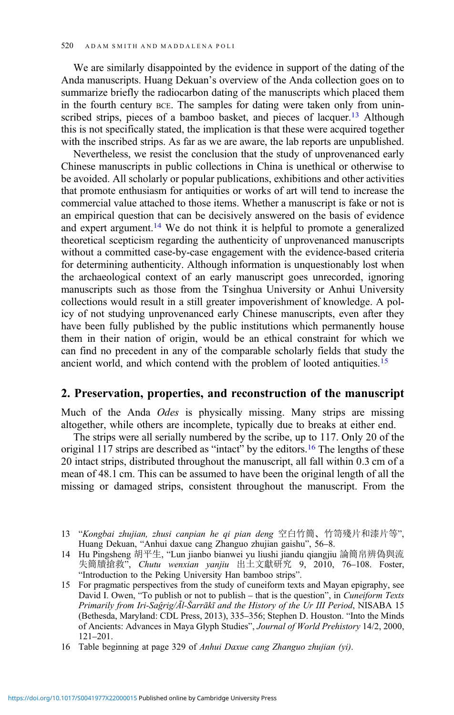We are similarly disappointed by the evidence in support of the dating of the Anda manuscripts. Huang Dekuan's overview of the Anda collection goes on to summarize briefly the radiocarbon dating of the manuscripts which placed them in the fourth century BCE. The samples for dating were taken only from uninscribed strips, pieces of a bamboo basket, and pieces of lacquer.<sup>13</sup> Although this is not specifically stated, the implication is that these were acquired together with the inscribed strips. As far as we are aware, the lab reports are unpublished.

Nevertheless, we resist the conclusion that the study of unprovenanced early Chinese manuscripts in public collections in China is unethical or otherwise to be avoided. All scholarly or popular publications, exhibitions and other activities that promote enthusiasm for antiquities or works of art will tend to increase the commercial value attached to those items. Whether a manuscript is fake or not is an empirical question that can be decisively answered on the basis of evidence and expert argument.<sup>14</sup> We do not think it is helpful to promote a generalized theoretical scepticism regarding the authenticity of unprovenanced manuscripts without a committed case-by-case engagement with the evidence-based criteria for determining authenticity. Although information is unquestionably lost when the archaeological context of an early manuscript goes unrecorded, ignoring manuscripts such as those from the Tsinghua University or Anhui University collections would result in a still greater impoverishment of knowledge. A policy of not studying unprovenanced early Chinese manuscripts, even after they have been fully published by the public institutions which permanently house them in their nation of origin, would be an ethical constraint for which we can find no precedent in any of the comparable scholarly fields that study the ancient world, and which contend with the problem of looted antiquities.<sup>15</sup>

## 2. Preservation, properties, and reconstruction of the manuscript

Much of the Anda Odes is physically missing. Many strips are missing altogether, while others are incomplete, typically due to breaks at either end.

The strips were all serially numbered by the scribe, up to 117. Only 20 of the original 117 strips are described as "intact" by the editors.<sup>16</sup> The lengths of these 20 intact strips, distributed throughout the manuscript, all fall within 0.3 cm of a mean of 48.1 cm. This can be assumed to have been the original length of all the missing or damaged strips, consistent throughout the manuscript. From the

<sup>13</sup> "Kongbai zhujian, zhusi canpian he qi pian deng 空白竹簡、竹笥殘片和漆片等", Huang Dekuan, "Anhui daxue cang Zhanguo zhujian gaishu", 56–8.

<sup>14</sup> Hu Pingsheng 胡平生, "Lun jianbo bianwei yu liushi jiandu qiangjiu 論簡帛辨偽與流 失簡牘搶救", Chutu wenxian yanjiu 出土文獻研究 9, 2010, 76–108. Foster, "Introduction to the Peking University Han bamboo strips".

<sup>15</sup> For pragmatic perspectives from the study of cuneiform texts and Mayan epigraphy, see David I. Owen, "To publish or not to publish – that is the question", in *Cuneiform Texts* Primarily from Iri-Saĝrig/Āl-Šarrākī and the History of the Ur III Period, NISABA 15 (Bethesda, Maryland: CDL Press, 2013), 335–356; Stephen D. Houston. "Into the Minds of Ancients: Advances in Maya Glyph Studies", Journal of World Prehistory 14/2, 2000, 121–201.

<sup>16</sup> Table beginning at page 329 of Anhui Daxue cang Zhanguo zhujian (yi).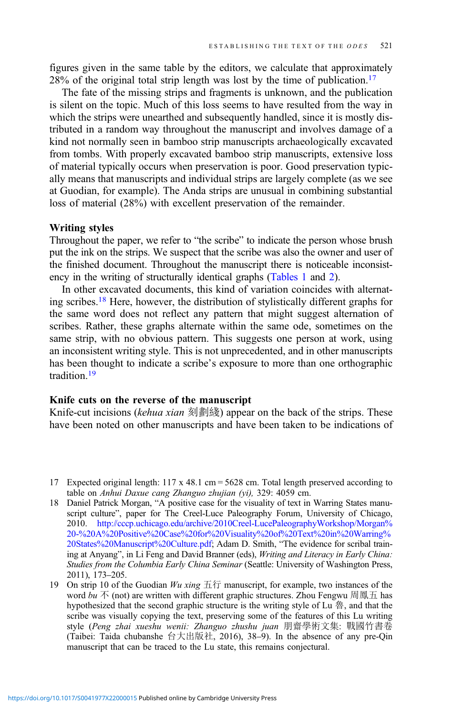figures given in the same table by the editors, we calculate that approximately  $28\%$  of the original total strip length was lost by the time of publication.<sup>17</sup>

The fate of the missing strips and fragments is unknown, and the publication is silent on the topic. Much of this loss seems to have resulted from the way in which the strips were unearthed and subsequently handled, since it is mostly distributed in a random way throughout the manuscript and involves damage of a kind not normally seen in bamboo strip manuscripts archaeologically excavated from tombs. With properly excavated bamboo strip manuscripts, extensive loss of material typically occurs when preservation is poor. Good preservation typically means that manuscripts and individual strips are largely complete (as we see at Guodian, for example). The Anda strips are unusual in combining substantial loss of material (28%) with excellent preservation of the remainder.

#### Writing styles

Throughout the paper, we refer to "the scribe" to indicate the person whose brush put the ink on the strips. We suspect that the scribe was also the owner and user of the finished document. Throughout the manuscript there is noticeable inconsistency in the writing of structurally identical graphs ([Tables 1](#page-7-0) and [2\)](#page-7-0).

In other excavated documents, this kind of variation coincides with alternating scribes.18 Here, however, the distribution of stylistically different graphs for the same word does not reflect any pattern that might suggest alternation of scribes. Rather, these graphs alternate within the same ode, sometimes on the same strip, with no obvious pattern. This suggests one person at work, using an inconsistent writing style. This is not unprecedented, and in other manuscripts has been thought to indicate a scribe's exposure to more than one orthographic tradition.19

## Knife cuts on the reverse of the manuscript

Knife-cut incisions (kehua xian 刻劃綫) appear on the back of the strips. These have been noted on other manuscripts and have been taken to be indications of

<sup>17</sup> Expected original length: 117 x 48.1 cm = 5628 cm. Total length preserved according to table on Anhui Daxue cang Zhanguo zhujian (yi), 329: 4059 cm.

<sup>18</sup> Daniel Patrick Morgan, "A positive case for the visuality of text in Warring States manuscript culture", paper for The Creel-Luce Paleography Forum, University of Chicago, 2010. [http://cccp.uchicago.edu/archive/2010Creel-LucePaleographyWorkshop/Morgan%](http://cccp.uchicago.edu/archive/2010Creel-LucePaleographyWorkshop/Morgan%20-%20A%20Positive%20Case%20for%20Visuality%20of%20Text%20in%20Warring%20States%20Manuscript%20Culture.pdf) [20-%20A%20Positive%20Case%20for%20Visuality%20of%20Text%20in%20Warring%](http://cccp.uchicago.edu/archive/2010Creel-LucePaleographyWorkshop/Morgan%20-%20A%20Positive%20Case%20for%20Visuality%20of%20Text%20in%20Warring%20States%20Manuscript%20Culture.pdf) [20States%20Manuscript%20Culture.pdf](http://cccp.uchicago.edu/archive/2010Creel-LucePaleographyWorkshop/Morgan%20-%20A%20Positive%20Case%20for%20Visuality%20of%20Text%20in%20Warring%20States%20Manuscript%20Culture.pdf); Adam D. Smith, "The evidence for scribal training at Anyang", in Li Feng and David Branner (eds), Writing and Literacy in Early China: Studies from the Columbia Early China Seminar (Seattle: University of Washington Press, 2011), 173–205.

<sup>19</sup> On strip 10 of the Guodian  $Wu$  xing 五行 manuscript, for example, two instances of the word bu 不 (not) are written with different graphic structures. Zhou Fengwu 周鳳五 has hypothesized that the second graphic structure is the writing style of Lu 魯, and that the scribe was visually copying the text, preserving some of the features of this Lu writing style (Peng zhai xueshu wenii: Zhanguo zhushu juan 朋齋學術文集: 戰國竹書卷 (Taibei: Taida chubanshe 台大出版社, 2016), 38–9). In the absence of any pre-Qin manuscript that can be traced to the Lu state, this remains conjectural.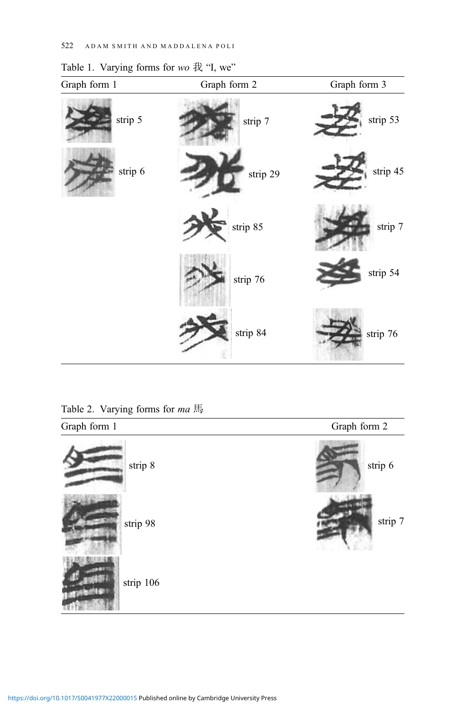| Graph form 1 | Graph form 2 | Graph form 3 |
|--------------|--------------|--------------|
| strip 5      | strip 7      | strip 53     |
| strip 6      | strip 29     | strip 45     |
|              | strip 85     | strip 7      |
|              | strip 76     | strip 54     |
|              | strip 84     | strip 76     |

<span id="page-7-0"></span>Table 1. Varying forms for wo 我 "I, we"

Table 2. Varying forms for ma 馬

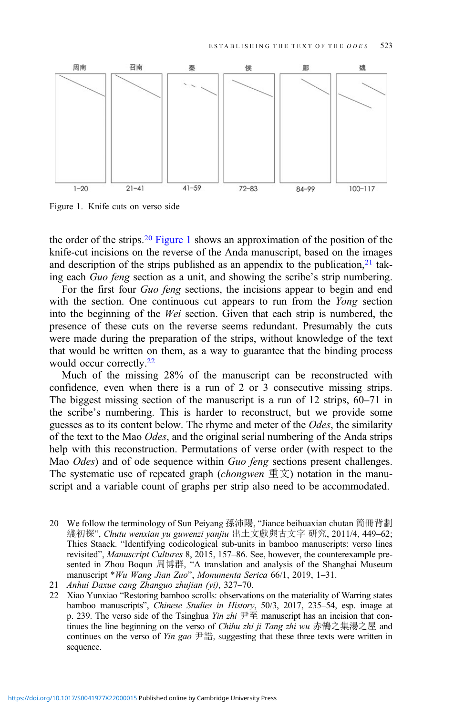<span id="page-8-0"></span>

Figure 1. Knife cuts on verso side

the order of the strips.<sup>20</sup> Figure 1 shows an approximation of the position of the knife-cut incisions on the reverse of the Anda manuscript, based on the images and description of the strips published as an appendix to the publication, $21$  taking each Guo feng section as a unit, and showing the scribe's strip numbering.

For the first four *Guo feng* sections, the incisions appear to begin and end with the section. One continuous cut appears to run from the Yong section into the beginning of the Wei section. Given that each strip is numbered, the presence of these cuts on the reverse seems redundant. Presumably the cuts were made during the preparation of the strips, without knowledge of the text that would be written on them, as a way to guarantee that the binding process would occur correctly.<sup>22</sup>

Much of the missing 28% of the manuscript can be reconstructed with confidence, even when there is a run of 2 or 3 consecutive missing strips. The biggest missing section of the manuscript is a run of 12 strips, 60–71 in the scribe's numbering. This is harder to reconstruct, but we provide some guesses as to its content below. The rhyme and meter of the Odes, the similarity of the text to the Mao Odes, and the original serial numbering of the Anda strips help with this reconstruction. Permutations of verse order (with respect to the Mao *Odes*) and of ode sequence within *Guo feng* sections present challenges. The systematic use of repeated graph (*chongwen*  $\mathbb{E}(\bar{x})$  notation in the manuscript and a variable count of graphs per strip also need to be accommodated.

<sup>20</sup> We follow the terminology of Sun Peiyang 孫沛陽, "Jiance beihuaxian chutan 簡冊背劃 綫初探", Chutu wenxian yu guwenzi yanjiu 出土文獻與古文字 研究, 2011/4, 449–62; Thies Staack. "Identifying codicological sub-units in bamboo manuscripts: verso lines revisited", Manuscript Cultures 8, 2015, 157–86. See, however, the counterexample presented in Zhou Boqun 周博群, "A translation and analysis of the Shanghai Museum manuscript \*Wu Wang Jian Zuo", Monumenta Serica 66/1, 2019, 1–31.

<sup>21</sup> Anhui Daxue cang Zhanguo zhujian (yi), 327–70.

<sup>22</sup> Xiao Yunxiao "Restoring bamboo scrolls: observations on the materiality of Warring states bamboo manuscripts", Chinese Studies in History, 50/3, 2017, 235–54, esp. image at p. 239. The verso side of the Tsinghua *Yin zhi*  $\overline{P} \overline{\pm}$  manuscript has an incision that continues the line beginning on the verso of *Chihu zhi ii Tang zhi wu* 赤鵠之集湯之屋 and continues on the verso of *Yin gao*  $\#\ddot{\mathbb{H}}$ , suggesting that these three texts were written in sequence.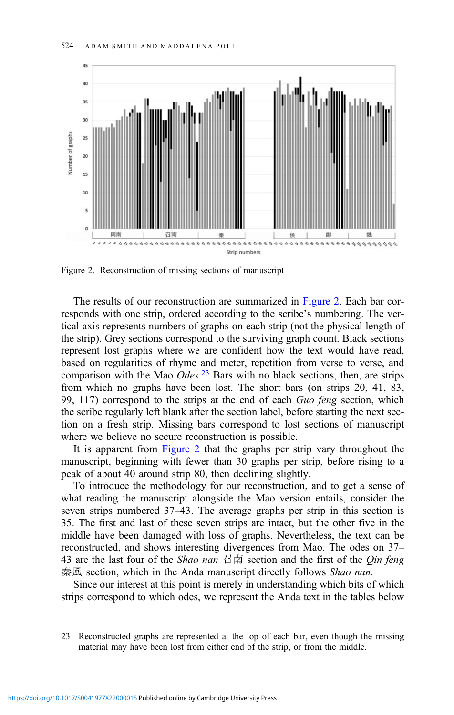

Figure 2. Reconstruction of missing sections of manuscript

The results of our reconstruction are summarized in Figure 2. Each bar corresponds with one strip, ordered according to the scribe's numbering. The vertical axis represents numbers of graphs on each strip (not the physical length of the strip). Grey sections correspond to the surviving graph count. Black sections represent lost graphs where we are confident how the text would have read, based on regularities of rhyme and meter, repetition from verse to verse, and comparison with the Mao Odes.<sup>23</sup> Bars with no black sections, then, are strips from which no graphs have been lost. The short bars (on strips 20, 41, 83, 99, 117) correspond to the strips at the end of each Guo feng section, which the scribe regularly left blank after the section label, before starting the next section on a fresh strip. Missing bars correspond to lost sections of manuscript where we believe no secure reconstruction is possible.

It is apparent from Figure 2 that the graphs per strip vary throughout the manuscript, beginning with fewer than 30 graphs per strip, before rising to a peak of about 40 around strip 80, then declining slightly.

To introduce the methodology for our reconstruction, and to get a sense of what reading the manuscript alongside the Mao version entails, consider the seven strips numbered 37–43. The average graphs per strip in this section is 35. The first and last of these seven strips are intact, but the other five in the middle have been damaged with loss of graphs. Nevertheless, the text can be reconstructed, and shows interesting divergences from Mao. The odes on 37– 43 are the last four of the *Shao nan* 召南 section and the first of the *Qin feng* 秦風 section, which in the Anda manuscript directly follows *Shao nan*.

Since our interest at this point is merely in understanding which bits of which strips correspond to which odes, we represent the Anda text in the tables below

<sup>23</sup> Reconstructed graphs are represented at the top of each bar, even though the missing material may have been lost from either end of the strip, or from the middle.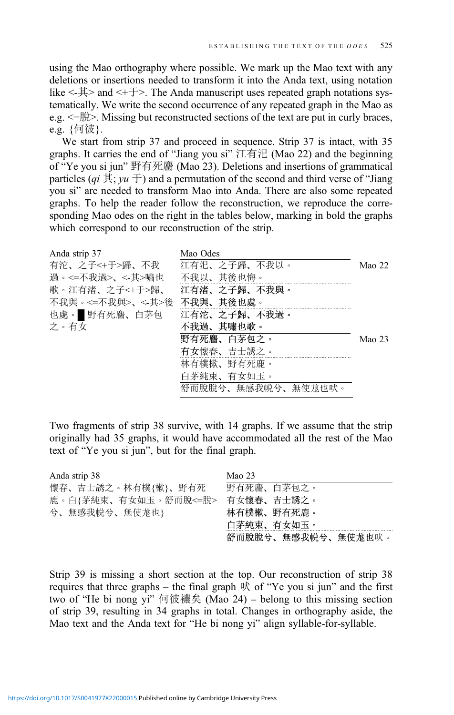using the Mao orthography where possible. We mark up the Mao text with any deletions or insertions needed to transform it into the Anda text, using notation like <-其> and <+于>. The Anda manuscript uses repeated graph notations systematically. We write the second occurrence of any repeated graph in the Mao as e.g.  $\leq \frac{m}{n}$ . Missing but reconstructed sections of the text are put in curly braces, e.g. {何彼}.

We start from strip 37 and proceed in sequence. Strip 37 is intact, with 35 graphs. It carries the end of "Jiang you si" 江有汜 (Mao 22) and the beginning of "Ye you si jun" 野有死麕 (Mao 23). Deletions and insertions of grammatical particles (qi  $\ddot{\mathbf{\ddot{A}}}; yu \ddot{\mathbf{\dot{T}}}$ ) and a permutation of the second and third verse of "Jiang you si" are needed to transform Mao into Anda. There are also some repeated graphs. To help the reader follow the reconstruction, we reproduce the corresponding Mao odes on the right in the tables below, marking in bold the graphs which correspond to our reconstruction of the strip.

| Anda strip 37    | Mao Odes           |          |
|------------------|--------------------|----------|
| 有沱、之子<+于>歸、不我    | 江有汜、之子歸、不我以。       | Mao 22   |
| 過。<=不我過>、<-其>嘯也  | 不我以、其後也悔。          |          |
| 歌。江有渚、之子<+于>歸、   | 江有渚、之子歸、不我與。       |          |
| 不我與。<=不我與>、<-其>後 | 不我與、其後也處。          |          |
| 也處。 野有死麕、白茅包     | 江有沱、之子歸、不我過。       |          |
| 之。有女             | 不我過、其嘯也歌。          |          |
|                  | 野有死麢、白茅包之。         | Mao $23$ |
|                  | 有女懷春、吉士誘之。         |          |
|                  | 林有樸樕、野有死鹿。         |          |
|                  | 白茅純束、有女如玉。         |          |
|                  | 舒而脱脱兮、無感我帨兮、無使尨也吠。 |          |

Two fragments of strip 38 survive, with 14 graphs. If we assume that the strip originally had 35 graphs, it would have accommodated all the rest of the Mao text of "Ye you si jun", but for the final graph.

| Mao $23$           |
|--------------------|
| 野有死麢、白茅包之。         |
| 有女懷春、吉士誘之。         |
| 林有樸樕、野有死鹿。         |
| 白茅純東、有女如玉。         |
| 舒而脫脫兮、無感我帨兮、無使尨也吠。 |
|                    |

Strip 39 is missing a short section at the top. Our reconstruction of strip 38 requires that three graphs – the final graph  $\mathbb R$  of "Ye you si jun" and the first two of "He bi nong yi" 何彼襛矣 (Mao 24) – belong to this missing section of strip 39, resulting in 34 graphs in total. Changes in orthography aside, the Mao text and the Anda text for "He bi nong yi" align syllable-for-syllable.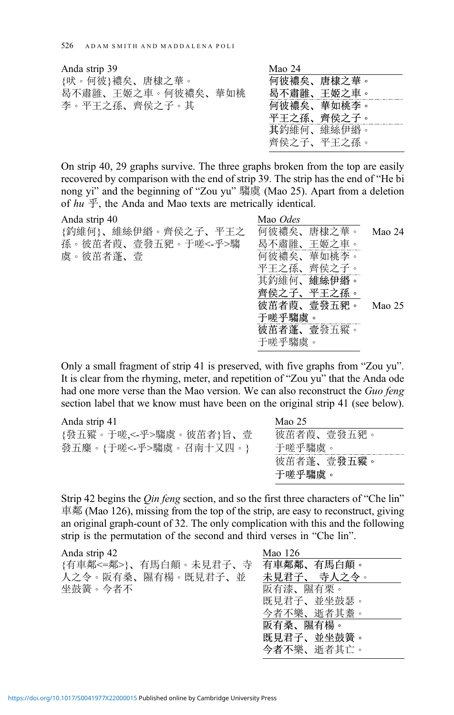| Anda strip 39      | Mao 24     |
|--------------------|------------|
| {吠。何彼}襛矣、唐棣之華。     | 何彼襛矣、唐棣之華。 |
| 曷不肅雝、王姬之車。何彼襛矣、華如桃 | 曷不肅雝、王姬之車。 |
| 李。平王之孫、齊侯之子。其      | 何彼襛矣、華如桃李。 |
|                    | 平王之孫、齊侯之子。 |
|                    | 其釣維何、維絲伊緡。 |

On strip 40, 29 graphs survive. The three graphs broken from the top are easily recovered by comparison with the end of strip 39. The strip has the end of "He bi nong yi" and the beginning of "Zou yu" 騶虞 (Mao 25). Apart from a deletion of  $hu \nsubseteq$ , the Anda and Mao texts are metrically identical.

齊侯之子、平王之孫。

| Anda strip 40       | Mao Odes   |        |
|---------------------|------------|--------|
| {釣維何}、維絲伊緡。齊侯之子、平王之 | 何彼襛矣、唐棣之華。 | Mao 24 |
| 孫。彼茁者葭、壹發五豝。于嗟<-乎>騶 | 曷不肅雝、王姬之車。 |        |
| 虞。彼茁者蓬、壹            | 何彼襛矣、華如桃李。 |        |
|                     | 平王之孫、齊侯之子。 |        |
|                     | 其釣維何、維絲伊緡。 |        |
|                     | 齊侯之子、平王之孫。 |        |
|                     | 彼茁者葭、壹發五豝。 | Mao 25 |
|                     | 于嗟乎騶虞。     |        |
|                     | 彼茁者蓬、壹發五豵。 |        |
|                     | 于嗟乎騶虞。     |        |
|                     |            |        |

Only a small fragment of strip 41 is preserved, with five graphs from "Zou yu". It is clear from the rhyming, meter, and repetition of "Zou yu" that the Anda ode had one more verse than the Mao version. We can also reconstruct the Guo feng section label that we know must have been on the original strip 41 (see below).

| Anda strip 41          | Mao 25     |
|------------------------|------------|
| {發五豵。于嗟,<-乎>騶虞。彼茁者}旨、壹 | 彼茁者葭、壹發五豝。 |
| 發五麋。{于嗟<-乎>騶虞。召南十又四。}  | 于嗟乎騶虞。     |
|                        | 彼茁者蓬、壹發五豵。 |
|                        | 于嗟乎騶虞。     |
|                        |            |

Strip 42 begins the *Oin feng* section, and so the first three characters of "Che lin" 車鄰 (Mao 126), missing from the top of the strip, are easy to reconstruct, giving an original graph-count of 32. The only complication with this and the following strip is the permutation of the second and third verses in "Che lin".

| Anda strip 42                    | Mao 126     |
|----------------------------------|-------------|
| {有車鄰<=鄰>}、有馬白顛。未見君子、寺 有車鄰鄰、有馬白顛。 |             |
| 人之令。阪有桑、隰有楊。既見君子、並               | 未見君子、 寺人之令。 |
| 坐鼓簧。今者不                          | 阪有漆、隰有栗。    |
|                                  | 既見君子、並坐鼓瑟。  |
|                                  | 今者不樂、逝者其耋。  |
|                                  | 阪有桑、隰有楊。    |
|                                  | 既見君子、並坐鼓簧。  |
|                                  | 今者不樂、逝者其亡。  |
|                                  |             |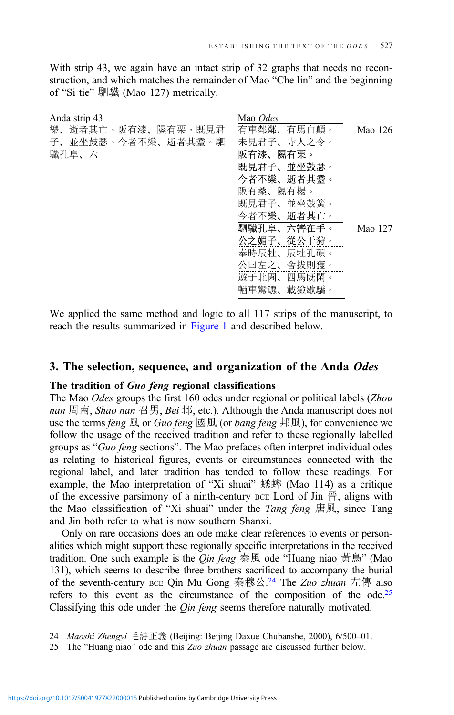With strip 43, we again have an intact strip of 32 graphs that needs no reconstruction, and which matches the remainder of Mao "Che lin" and the beginning of "Si tie" 駟驖 (Mao 127) metrically.

| Anda strip 43      | Mao Odes   |         |
|--------------------|------------|---------|
| 樂、逝者其亡。阪有漆、隰有栗。既見君 | 有車鄰鄰、有馬白顛。 | Mao 126 |
| 子、並坐鼓瑟。今者不樂、逝者其耋。駟 | 未見君子、寺人之令。 |         |
| 驖孔阜、六              | 阪有漆、隰有栗。   |         |
|                    | 既見君子、並坐鼓瑟。 |         |
|                    | 今者不樂、逝者其耋。 |         |
|                    | 阪有桑、隰有楊。   |         |
|                    | 既見君子、並坐鼓簧。 |         |
|                    | 今者不樂、逝者其亡。 |         |
|                    | 駟驖孔阜、六轡在手。 | Mao 127 |
|                    | 公之媚子、從公于狩。 |         |
|                    | 奉時辰牡、辰牡孔碩。 |         |
|                    | 公曰左之、舍拔則獲。 |         |
|                    | 遊于北園、四馬既閑。 |         |
|                    | 輶車鸞鑣、載獫歇驕。 |         |
|                    |            |         |

We applied the same method and logic to all 117 strips of the manuscript, to reach the results summarized in [Figure 1](#page-8-0) and described below.

## 3. The selection, sequence, and organization of the Anda Odes

## The tradition of Guo feng regional classifications

The Mao Odes groups the first 160 odes under regional or political labels (Zhou nan 周南, Shao nan 召男, Bei 邶, etc.). Although the Anda manuscript does not use the terms *feng* 風 or *Guo feng* 國風 (or *bang feng* 邦風), for convenience we follow the usage of the received tradition and refer to these regionally labelled groups as "Guo feng sections". The Mao prefaces often interpret individual odes as relating to historical figures, events or circumstances connected with the regional label, and later tradition has tended to follow these readings. For example, the Mao interpretation of "Xi shuai" 蟋蟀 (Mao 114) as a critique of the excessive parsimony of a ninth-century BCE Lord of Jin  $\frac{26}{10}$ , aligns with the Mao classification of "Xi shuai" under the *Tang feng* 唐風, since Tang and Jin both refer to what is now southern Shanxi.

Only on rare occasions does an ode make clear references to events or personalities which might support these regionally specific interpretations in the received tradition. One such example is the *Qin feng* 秦風 ode "Huang niao 黃鳥" (Mao 131), which seems to describe three brothers sacrificed to accompany the burial of the seventh-century BCE Qin Mu Gong 秦穆公.<sup>24</sup> The Zuo zhuan 左傳 also refers to this event as the circumstance of the composition of the ode.<sup>25</sup> Classifying this ode under the *Oin feng* seems therefore naturally motivated.

<sup>24</sup> Maoshi Zhengyi 毛詩正義 (Beijing: Beijing Daxue Chubanshe, 2000), 6/500–01.

<sup>25</sup> The "Huang niao" ode and this Zuo zhuan passage are discussed further below.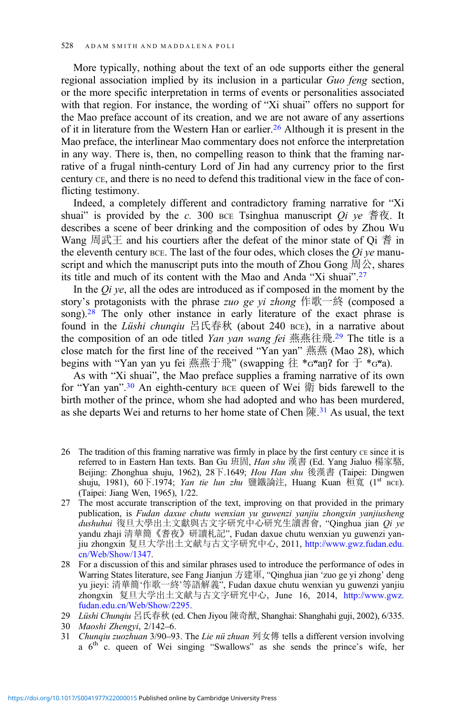More typically, nothing about the text of an ode supports either the general regional association implied by its inclusion in a particular Guo feng section, or the more specific interpretation in terms of events or personalities associated with that region. For instance, the wording of "Xi shuai" offers no support for the Mao preface account of its creation, and we are not aware of any assertions of it in literature from the Western Han or earlier.<sup>26</sup> Although it is present in the Mao preface, the interlinear Mao commentary does not enforce the interpretation in any way. There is, then, no compelling reason to think that the framing narrative of a frugal ninth-century Lord of Jin had any currency prior to the first century CE, and there is no need to defend this traditional view in the face of conflicting testimony.

Indeed, a completely different and contradictory framing narrative for "Xi shuai" is provided by the c. 300 BCE Tsinghua manuscript  $\overline{Qi}$  ve 耆夜. It describes a scene of beer drinking and the composition of odes by Zhou Wu Wang 周武王 and his courtiers after the defeat of the minor state of Qi 耆 in the eleventh century  $BCE$ . The last of the four odes, which closes the *Qi ye* manuscript and which the manuscript puts into the mouth of Zhou Gong  $\boxplus \triangle$ , shares its title and much of its content with the Mao and Anda "Xi shuai". 27

In the  $Qi$  ye, all the odes are introduced as if composed in the moment by the story's protagonists with the phrase *zuo ge yi zhong* 作歌一終 (composed a song).<sup>28</sup> The only other instance in early literature of the exact phrase is found in the *Lüshi chunqiu* 呂氏春秋 (about 240 BCE), in a narrative about the composition of an ode titled Yan yan wang fei 燕燕往飛.<sup>29</sup> The title is a close match for the first line of the received "Yan yan" 燕燕 (Mao 28), which begins with "Yan yan yu fei 燕燕于飛" (swapping 往 \* $G^{\omega}$ an? for 于 \* $G^{\omega}$ a).

As with "Xi shuai", the Mao preface supplies a framing narrative of its own for "Yan yan".<sup>30</sup> An eighth-century BCE queen of Wei 衛 bids farewell to the birth mother of the prince, whom she had adopted and who has been murdered, as she departs Wei and returns to her home state of Chen 陳. <sup>31</sup> As usual, the text

- 26 The tradition of this framing narrative was firmly in place by the first century CE since it is referred to in Eastern Han texts. Ban Gu 班固, Han shu 漢書 (Ed. Yang Jialuo 楊家駱, Beijing: Zhonghua shuju, 1962), 28下.1649; Hou Han shu 後漢書 (Taipei: Dingwen shuju, 1981), 60下.1974; *Yan tie lun zhu* 鹽鐵論注, Huang Kuan 桓寬 (1<sup>st</sup> BCE). (Taipei: Jiang Wen, 1965), 1/22.
- 27 The most accurate transcription of the text, improving on that provided in the primary publication, is Fudan daxue chutu wenxian yu guwenzi yanjiu zhongxin yanjiusheng  $\alpha$ dushuhui 復旦大學出土文獻與古文字研究中心研究生讀書會, "Qinghua jian  $\varrho$ i ye yandu zhaji 清華簡《耆夜》研讀札記", Fudan daxue chutu wenxian yu guwenzi yanjiu zhongxin 复旦大学出土文献与古文字研究中心, 2011, [http://www.gwz.fudan.edu.](http://www.gwz.fudan.edu.cn/Web/Show/1347) [cn/Web/Show/1347](http://www.gwz.fudan.edu.cn/Web/Show/1347).
- 28 For a discussion of this and similar phrases used to introduce the performance of odes in Warring States literature, see Fang Jianjun 方建軍, "Qinghua jian 'zuo ge yi zhong' deng yu jieyi: 清華簡'作歌一終'等語解義", Fudan daxue chutu wenxian yu guwenzi yanjiu zhongxin 复旦大学出土文献与古文字研究中心, June 16, 2014, [http://www.gwz.](http://www.gwz.fudan.edu.cn/Web/Show/2295) [fudan.edu.cn/Web/Show/2295](http://www.gwz.fudan.edu.cn/Web/Show/2295).

31 Chunqiu zuozhuan 3/90-93. The Lie nü zhuan 列女傳 tells a different version involving a  $6<sup>th</sup>$  c. queen of Wei singing "Swallows" as she sends the prince's wife, her

<sup>29</sup> Lüshi Chunqiu 呂氏春秋 (ed. Chen Jiyou 陳奇猷, Shanghai: Shanghahi guji, 2002), 6/335.

<sup>30</sup> Maoshi Zhengyi, 2/142–6.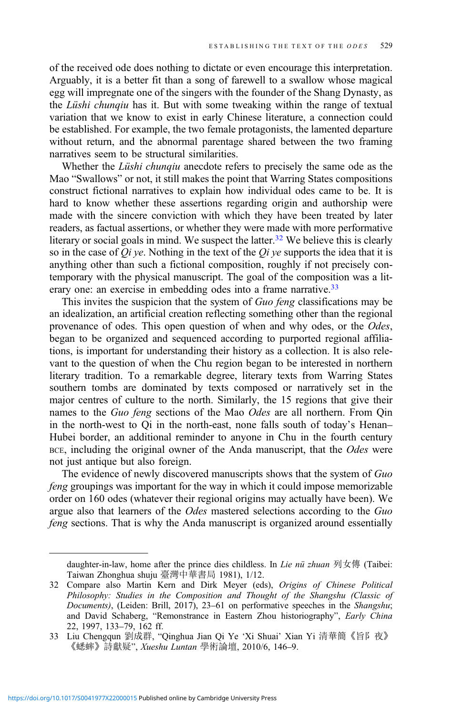of the received ode does nothing to dictate or even encourage this interpretation. Arguably, it is a better fit than a song of farewell to a swallow whose magical egg will impregnate one of the singers with the founder of the Shang Dynasty, as the Lüshi chunqiu has it. But with some tweaking within the range of textual variation that we know to exist in early Chinese literature, a connection could be established. For example, the two female protagonists, the lamented departure without return, and the abnormal parentage shared between the two framing narratives seem to be structural similarities.

Whether the *Lüshi chunqiu* anecdote refers to precisely the same ode as the Mao "Swallows" or not, it still makes the point that Warring States compositions construct fictional narratives to explain how individual odes came to be. It is hard to know whether these assertions regarding origin and authorship were made with the sincere conviction with which they have been treated by later readers, as factual assertions, or whether they were made with more performative literary or social goals in mind. We suspect the latter.<sup>32</sup> We believe this is clearly so in the case of  $Q_i$  ye. Nothing in the text of the  $Q_i$  ye supports the idea that it is anything other than such a fictional composition, roughly if not precisely contemporary with the physical manuscript. The goal of the composition was a literary one: an exercise in embedding odes into a frame narrative.<sup>33</sup>

This invites the suspicion that the system of Guo feng classifications may be an idealization, an artificial creation reflecting something other than the regional provenance of odes. This open question of when and why odes, or the Odes, began to be organized and sequenced according to purported regional affiliations, is important for understanding their history as a collection. It is also relevant to the question of when the Chu region began to be interested in northern literary tradition. To a remarkable degree, literary texts from Warring States southern tombs are dominated by texts composed or narratively set in the major centres of culture to the north. Similarly, the 15 regions that give their names to the Guo feng sections of the Mao Odes are all northern. From Qin in the north-west to Qi in the north-east, none falls south of today's Henan– Hubei border, an additional reminder to anyone in Chu in the fourth century BCE, including the original owner of the Anda manuscript, that the Odes were not just antique but also foreign.

The evidence of newly discovered manuscripts shows that the system of Guo feng groupings was important for the way in which it could impose memorizable order on 160 odes (whatever their regional origins may actually have been). We argue also that learners of the Odes mastered selections according to the Guo feng sections. That is why the Anda manuscript is organized around essentially

daughter-in-law, home after the prince dies childless. In *Lie nü zhuan* 列女傳 (Taibei: Taiwan Zhonghua shuju 臺灣中華書局 1981), 1/12.

<sup>32</sup> Compare also Martin Kern and Dirk Meyer (eds), Origins of Chinese Political Philosophy: Studies in the Composition and Thought of the Shangshu (Classic of Documents), (Leiden: Brill, 2017), 23–61 on performative speeches in the Shangshu; and David Schaberg, "Remonstrance in Eastern Zhou historiography", Early China 22, 1997, 133–79, 162 ff.

<sup>33</sup> Liu Chengqun 劉成群, "Qinghua Jian Qi Ye 'Xi Shuai' Xian Yi 清華簡《旨阝夜》 《蟋蟀》詩獻疑", Xueshu Luntan 學術論壇, 2010/6, 146–9.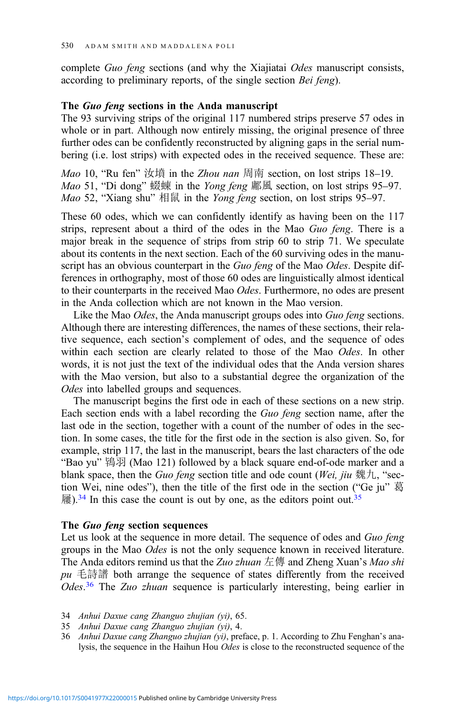complete Guo feng sections (and why the Xiajiatai Odes manuscript consists, according to preliminary reports, of the single section Bei feng).

#### The Guo feng sections in the Anda manuscript

The 93 surviving strips of the original 117 numbered strips preserve 57 odes in whole or in part. Although now entirely missing, the original presence of three further odes can be confidently reconstructed by aligning gaps in the serial numbering (i.e. lost strips) with expected odes in the received sequence. These are:

Mao 10, "Ru fen" 汝墳 in the Zhou nan 周南 section, on lost strips 18–19. Mao 51, "Di dong" 蝃蝀 in the Yong feng 鄘風 section, on lost strips 95–97. Mao 52, "Xiang shu" 相鼠 in the Yong feng section, on lost strips 95–97.

These 60 odes, which we can confidently identify as having been on the 117 strips, represent about a third of the odes in the Mao Guo feng. There is a major break in the sequence of strips from strip 60 to strip 71. We speculate about its contents in the next section. Each of the 60 surviving odes in the manuscript has an obvious counterpart in the Guo feng of the Mao Odes. Despite differences in orthography, most of those 60 odes are linguistically almost identical to their counterparts in the received Mao Odes. Furthermore, no odes are present in the Anda collection which are not known in the Mao version.

Like the Mao *Odes*, the Anda manuscript groups odes into *Guo feng* sections. Although there are interesting differences, the names of these sections, their relative sequence, each section's complement of odes, and the sequence of odes within each section are clearly related to those of the Mao Odes. In other words, it is not just the text of the individual odes that the Anda version shares with the Mao version, but also to a substantial degree the organization of the Odes into labelled groups and sequences.

The manuscript begins the first ode in each of these sections on a new strip. Each section ends with a label recording the Guo feng section name, after the last ode in the section, together with a count of the number of odes in the section. In some cases, the title for the first ode in the section is also given. So, for example, strip 117, the last in the manuscript, bears the last characters of the ode "Bao yu" 鴇羽 (Mao 121) followed by a black square end-of-ode marker and a blank space, then the *Guo feng* section title and ode count *(Wei, jiu* 魏九, "section Wei, nine odes"), then the title of the first ode in the section ("Ge ju" 葛  $\mathbb{R}^{34}$  In this case the count is out by one, as the editors point out.<sup>35</sup>

#### The Guo feng section sequences

Let us look at the sequence in more detail. The sequence of odes and Guo feng groups in the Mao Odes is not the only sequence known in received literature. The Anda editors remind us that the Zuo zhuan  $E \oplus$  and Zheng Xuan's Mao shi  $pu$  毛詩譜 both arrange the sequence of states differently from the received Odes.<sup>36</sup> The Zuo zhuan sequence is particularly interesting, being earlier in

- 34 Anhui Daxue cang Zhanguo zhujian (yi), 65.
- 35 Anhui Daxue cang Zhanguo zhujian (yi), 4.
- 36 Anhui Daxue cang Zhanguo zhujian (yi), preface, p. 1. According to Zhu Fenghan's analysis, the sequence in the Haihun Hou Odes is close to the reconstructed sequence of the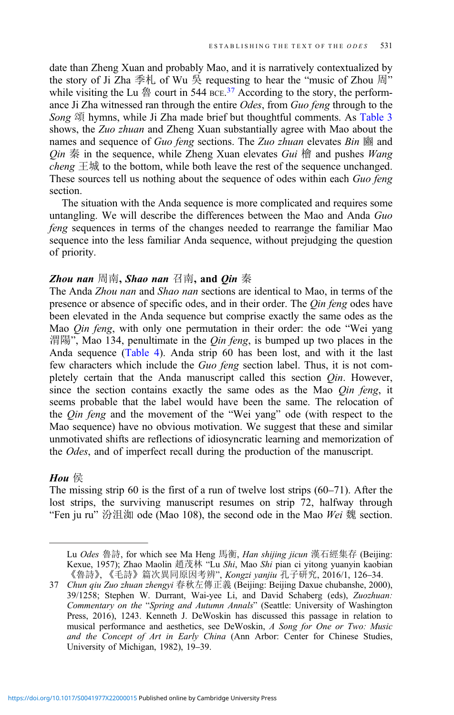date than Zheng Xuan and probably Mao, and it is narratively contextualized by the story of Ji Zha 季札 of Wu 吳 requesting to hear the "music of Zhou 周" while visiting the Lu  $\frac{4}{9}$  court in 544 BCE.<sup>37</sup> According to the story, the performance Ji Zha witnessed ran through the entire Odes, from Guo feng through to the Song 頌 hymns, while Ji Zha made brief but thoughtful comments. As [Table 3](#page-17-0) shows, the Zuo zhuan and Zheng Xuan substantially agree with Mao about the names and sequence of Guo feng sections. The Zuo zhuan elevates Bin 豳 and  $Q$ in 秦 in the sequence, while Zheng Xuan elevates Gui 檜 and pushes Wang *cheng*  $\pm \frac{1}{2}$  to the bottom, while both leave the rest of the sequence unchanged. These sources tell us nothing about the sequence of odes within each Guo feng section.

The situation with the Anda sequence is more complicated and requires some untangling. We will describe the differences between the Mao and Anda Guo feng sequences in terms of the changes needed to rearrange the familiar Mao sequence into the less familiar Anda sequence, without prejudging the question of priority.

#### **Zhou nan** 周南, Shao nan 召南, and Qin 秦

The Anda Zhou nan and Shao nan sections are identical to Mao, in terms of the presence or absence of specific odes, and in their order. The *Qin feng* odes have been elevated in the Anda sequence but comprise exactly the same odes as the Mao *Qin feng*, with only one permutation in their order: the ode "Wei yang 渭陽", Mao 134, penultimate in the *Qin feng*, is bumped up two places in the Anda sequence ([Table 4](#page-17-0)). Anda strip 60 has been lost, and with it the last few characters which include the Guo feng section label. Thus, it is not completely certain that the Anda manuscript called this section *Qin*. However, since the section contains exactly the same odes as the Mao Qin feng, it seems probable that the label would have been the same. The relocation of the Qin feng and the movement of the "Wei yang" ode (with respect to the Mao sequence) have no obvious motivation. We suggest that these and similar unmotivated shifts are reflections of idiosyncratic learning and memorization of the Odes, and of imperfect recall during the production of the manuscript.

#### Hou 侯

The missing strip 60 is the first of a run of twelve lost strips (60–71). After the lost strips, the surviving manuscript resumes on strip 72, halfway through "Fen ju ru" 汾沮洳 ode (Mao 108), the second ode in the Mao Wei 魏 section.

Lu *Odes* 魯詩, for which see Ma Heng 馬衡, *Han shijing jicun* 漢石經集存 (Beijing: Kexue, 1957); Zhao Maolin 趙茂林 "Lu Shi, Mao Shi pian ci yitong yuanyin kaobian 《魯詩》, 《毛詩》篇次異同原因考辨", Kongzi yanjiu 孔子研究, 2016/1, 126–34.

<sup>37</sup> Chun qiu Zuo zhuan zhengyi 春秋左傳正義 (Beijing: Beijing Daxue chubanshe, 2000), 39/1258; Stephen W. Durrant, Wai-yee Li, and David Schaberg (eds), Zuozhuan: Commentary on the "Spring and Autumn Annals" (Seattle: University of Washington Press, 2016), 1243. Kenneth J. DeWoskin has discussed this passage in relation to musical performance and aesthetics, see DeWoskin, A Song for One or Two: Music and the Concept of Art in Early China (Ann Arbor: Center for Chinese Studies, University of Michigan, 1982), 19–39.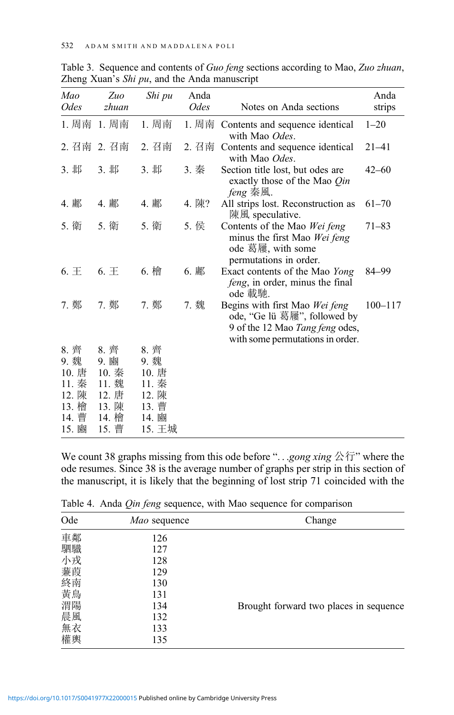| Mao<br><i>Odes</i> | Zuo<br>zhuan   | Shi pu         | Anda<br><i>Odes</i> | Notes on Anda sections                                                                                                                | Anda<br>strips |
|--------------------|----------------|----------------|---------------------|---------------------------------------------------------------------------------------------------------------------------------------|----------------|
| 1. 周南              | 1. 周南          | 1. 周南          | 1. 周南               | Contents and sequence identical<br>with Mao Odes.                                                                                     | $1 - 20$       |
| 2. 召南              | 2. 召南          | 2. 召南          | 2. 召南               | Contents and sequence identical<br>with Mao Odes.                                                                                     | $21 - 41$      |
| 3. 邶               | 3. 邶           | 3. 邶           | 3. 秦                | Section title lost, but odes are<br>exactly those of the Mao Qin<br><i>feng</i> 秦風.                                                   | $42 - 60$      |
| 4. 鄘               | 4. 鄘           | 4. 鄘           | 4. 陳?               | All strips lost. Reconstruction as<br>陳風 speculative.                                                                                 | $61 - 70$      |
| 5. 衛               | 5. 衛           | 5. 衛           | 5. 侯                | Contents of the Mao Wei feng<br>minus the first Mao Wei feng<br>ode 葛屨, with some<br>permutations in order.                           | $71 - 83$      |
| $6. \pm$           | 6. E           | 6. 檜           | 6. 鄘                | Exact contents of the Mao Yong<br>feng, in order, minus the final<br>ode 載馳.                                                          | 84–99          |
| 7. 鄭               | 7. 鄭           | 7. 鄭           | 7. 魏                | Begins with first Mao Wei feng<br>ode, "Ge lü 葛屨", followed by<br>9 of the 12 Mao Tang feng odes,<br>with some permutations in order. | $100 - 117$    |
| 8. 齊               | 8. 齊           | 8. 齊           |                     |                                                                                                                                       |                |
| 9. 魏               | 9. 豳           | 9. 魏           |                     |                                                                                                                                       |                |
| 10. 唐              | 10. 秦          | 10. 唐          |                     |                                                                                                                                       |                |
| 11. 秦<br>12. 陳     | 11. 魏<br>12. 唐 | 11. 秦<br>12. 陳 |                     |                                                                                                                                       |                |
| 13. 檜              | 13. 陳          | 13. 曹          |                     |                                                                                                                                       |                |
| 14. 曹              | 14. 檜          | 14. 豳          |                     |                                                                                                                                       |                |
| 15. 豳              | 15. 曹          | 15. 王城         |                     |                                                                                                                                       |                |

<span id="page-17-0"></span>Table 3. Sequence and contents of Guo feng sections according to Mao, Zuo zhuan, Zheng Xuan's Shi pu, and the Anda manuscript

We count 38 graphs missing from this ode before "...gong xing  $\triangle \overleftrightarrow{\tau}$ " where the ode resumes. Since 38 is the average number of graphs per strip in this section of the manuscript, it is likely that the beginning of lost strip 71 coincided with the

| Ode      | Mao sequence | Change                                 |
|----------|--------------|----------------------------------------|
| 車鄰       | 126          |                                        |
| 駟驖       | 127          |                                        |
| 小戎       | 128          |                                        |
| 蒹葭       | 129          |                                        |
| 終南       | 130          |                                        |
| 黄鳥       | 131          |                                        |
| 渭陽       | 134          | Brought forward two places in sequence |
| 晨風<br>無衣 | 132          |                                        |
|          | 133          |                                        |
| 權輿       | 135          |                                        |

Table 4. Anda Qin feng sequence, with Mao sequence for comparison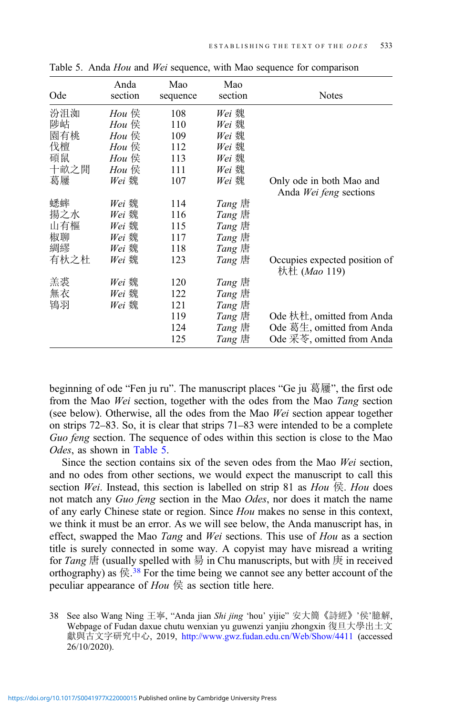| Ode  | Anda<br>section | Mao<br>sequence | Mao<br>section | <b>Notes</b>                                          |
|------|-----------------|-----------------|----------------|-------------------------------------------------------|
| 汾沮洳  | Hou 侯           | 108             | Wei 魏          |                                                       |
| 陟岵   | Hou 侯           | 110             | Wei 魏          |                                                       |
| 園有桃  | Hou 侯           | 109             | Wei 魏          |                                                       |
| 伐檀   | Hou 侯           | 112             | Wei 魏          |                                                       |
| 碩鼠   | Hou 侯           | 113             | Wei 魏          |                                                       |
| 十畝之閒 | Hou $\notin$    | 111             | Wei 魏          |                                                       |
| 葛屨   | Wei 魏           | 107             | Wei 魏          | Only ode in both Mao and                              |
|      |                 |                 |                | Anda Wei feng sections                                |
| 蟋蟀   | Wei 魏           | 114             | Tang 唐         |                                                       |
| 揚之水  | Wei 魏           | 116             | Tang 唐         |                                                       |
| 山有樞  | Wei 魏           | 115             | Tang 唐         |                                                       |
| 椒聊   | Wei 魏           | 117             | Tang 唐         |                                                       |
| 綢繆   | Wei 魏           | 118             | Tang 唐         |                                                       |
| 有杕之杜 | Wei 魏           | 123             | Tang 唐         | Occupies expected position of<br>杕杜 ( <i>Mao</i> 119) |
| 羔裘   | Wei 魏           | 120             | Tang 唐         |                                                       |
| 無衣   | Wei 魏           | 122             | Tang 唐         |                                                       |
| 鴇羽   | Wei 魏           | 121             | Tang 唐         |                                                       |
|      |                 | 119             | Tang 唐         | Ode 杕杜, omitted from Anda                             |
|      |                 | 124             | $Tang$ 唐       | Ode 葛生, omitted from Anda                             |
|      |                 | 125             | Tang 唐         | Ode 采苓, omitted from Anda                             |

Table 5. Anda Hou and Wei sequence, with Mao sequence for comparison

beginning of ode "Fen ju ru". The manuscript places "Ge ju 葛屨", the first ode from the Mao Wei section, together with the odes from the Mao Tang section (see below). Otherwise, all the odes from the Mao Wei section appear together on strips 72–83. So, it is clear that strips 71–83 were intended to be a complete Guo feng section. The sequence of odes within this section is close to the Mao Odes, as shown in Table 5.

Since the section contains six of the seven odes from the Mao Wei section, and no odes from other sections, we would expect the manuscript to call this section Wei. Instead, this section is labelled on strip 81 as  $Hou \nsubseteq$ . Hou does not match any Guo feng section in the Mao Odes, nor does it match the name of any early Chinese state or region. Since Hou makes no sense in this context, we think it must be an error. As we will see below, the Anda manuscript has, in effect, swapped the Mao Tang and Wei sections. This use of Hou as a section title is surely connected in some way. A copyist may have misread a writing for Tang  $H$  (usually spelled with  $H$  in Chu manuscripts, but with  $H$  in received orthography) as  $\textcircled{g}.38$  For the time being we cannot see any better account of the peculiar appearance of  $Hou \notin \mathbb{R}$  as section title here.

<sup>38</sup> See also Wang Ning 王寧, "Anda jian Shi jing 'hou' yijie" 安大簡《詩經》'侯'臆解, Webpage of Fudan daxue chutu wenxian yu guwenzi yanjiu zhongxin 復旦大學出土文 獻與古文字研究中心, 2019, <http://www.gwz.fudan.edu.cn/Web/Show/4411> (accessed 26/10/2020).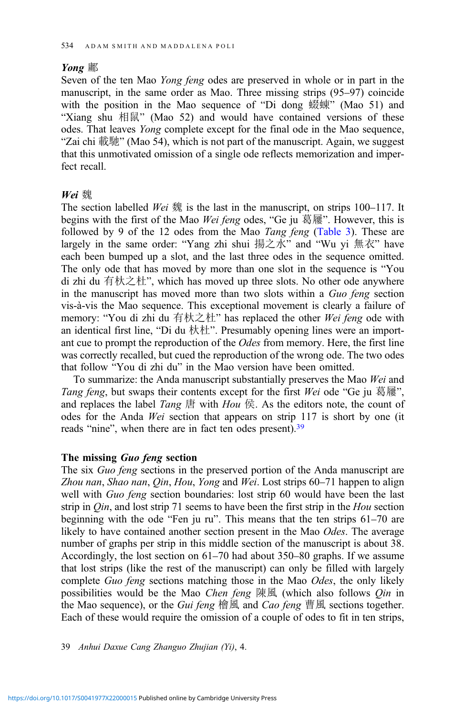## Yong 鄘

Seven of the ten Mao Yong feng odes are preserved in whole or in part in the manuscript, in the same order as Mao. Three missing strips (95–97) coincide with the position in the Mao sequence of "Di dong 蝃蝀" (Mao 51) and "Xiang shu 相鼠" (Mao 52) and would have contained versions of these odes. That leaves Yong complete except for the final ode in the Mao sequence, "Zai chi 載馳" (Mao 54), which is not part of the manuscript. Again, we suggest that this unmotivated omission of a single ode reflects memorization and imperfect recall.

## Wei 魏

The section labelled Wei  $\mathcal{R}$  is the last in the manuscript, on strips 100–117. It begins with the first of the Mao Wei feng odes, "Ge ju 葛屨". However, this is followed by 9 of the 12 odes from the Mao Tang feng [\(Table 3](#page-17-0)). These are largely in the same order: "Yang zhi shui 揚之水" and "Wu yi 無衣" have each been bumped up a slot, and the last three odes in the sequence omitted. The only ode that has moved by more than one slot in the sequence is "You di zhi du 有杕之杜", which has moved up three slots. No other ode anywhere in the manuscript has moved more than two slots within a Guo feng section vis-à-vis the Mao sequence. This exceptional movement is clearly a failure of memory: "You di zhi du 有杕之杜" has replaced the other Wei feng ode with an identical first line, "Di du 杕杜". Presumably opening lines were an important cue to prompt the reproduction of the Odes from memory. Here, the first line was correctly recalled, but cued the reproduction of the wrong ode. The two odes that follow "You di zhi du" in the Mao version have been omitted.

To summarize: the Anda manuscript substantially preserves the Mao Wei and Tang feng, but swaps their contents except for the first Wei ode "Ge ju 葛屨", and replaces the label Tang  $\ddot{\mathbf{F}}$  with Hou  $\ddot{\mathbf{F}}$ . As the editors note, the count of odes for the Anda Wei section that appears on strip 117 is short by one (it reads "nine", when there are in fact ten odes present).<sup>39</sup>

## The missing Guo feng section

The six Guo feng sections in the preserved portion of the Anda manuscript are Zhou nan, Shao nan, Qin, Hou, Yong and Wei. Lost strips 60-71 happen to align well with Guo feng section boundaries: lost strip 60 would have been the last strip in  $Q$ *in*, and lost strip 71 seems to have been the first strip in the  $Hou$  section beginning with the ode "Fen ju ru". This means that the ten strips 61–70 are likely to have contained another section present in the Mao Odes. The average number of graphs per strip in this middle section of the manuscript is about 38. Accordingly, the lost section on 61–70 had about 350–80 graphs. If we assume that lost strips (like the rest of the manuscript) can only be filled with largely complete Guo feng sections matching those in the Mao Odes, the only likely possibilities would be the Mao Chen feng  $\mathbb{R}$   $\mathbb{R}$  (which also follows Qin in the Mao sequence), or the *Gui feng* 檜風 and *Cao feng* 曹風 sections together. Each of these would require the omission of a couple of odes to fit in ten strips,

39 Anhui Daxue Cang Zhanguo Zhujian (Yi), 4.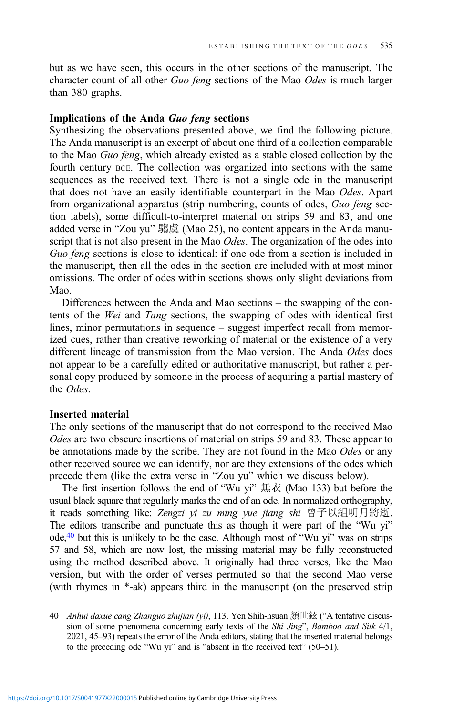but as we have seen, this occurs in the other sections of the manuscript. The character count of all other Guo feng sections of the Mao Odes is much larger than 380 graphs.

## Implications of the Anda Guo feng sections

Synthesizing the observations presented above, we find the following picture. The Anda manuscript is an excerpt of about one third of a collection comparable to the Mao Guo feng, which already existed as a stable closed collection by the fourth century BCE. The collection was organized into sections with the same sequences as the received text. There is not a single ode in the manuscript that does not have an easily identifiable counterpart in the Mao Odes. Apart from organizational apparatus (strip numbering, counts of odes, Guo feng section labels), some difficult-to-interpret material on strips 59 and 83, and one added verse in "Zou yu" 騶虞 (Mao 25), no content appears in the Anda manuscript that is not also present in the Mao Odes. The organization of the odes into Guo feng sections is close to identical: if one ode from a section is included in the manuscript, then all the odes in the section are included with at most minor omissions. The order of odes within sections shows only slight deviations from Mao.

Differences between the Anda and Mao sections – the swapping of the contents of the Wei and Tang sections, the swapping of odes with identical first lines, minor permutations in sequence – suggest imperfect recall from memorized cues, rather than creative reworking of material or the existence of a very different lineage of transmission from the Mao version. The Anda Odes does not appear to be a carefully edited or authoritative manuscript, but rather a personal copy produced by someone in the process of acquiring a partial mastery of the Odes

#### Inserted material

The only sections of the manuscript that do not correspond to the received Mao Odes are two obscure insertions of material on strips 59 and 83. These appear to be annotations made by the scribe. They are not found in the Mao Odes or any other received source we can identify, nor are they extensions of the odes which precede them (like the extra verse in "Zou yu" which we discuss below).

The first insertion follows the end of "Wu yi" 無衣 (Mao 133) but before the usual black square that regularly marks the end of an ode. In normalized orthography, it reads something like: Zengzi yi zu ming yue jiang shi 曾子以組明月將逝. The editors transcribe and punctuate this as though it were part of the "Wu yi" ode,40 but this is unlikely to be the case. Although most of "Wu yi" was on strips 57 and 58, which are now lost, the missing material may be fully reconstructed using the method described above. It originally had three verses, like the Mao version, but with the order of verses permuted so that the second Mao verse (with rhymes in \*-ak) appears third in the manuscript (on the preserved strip

<sup>40</sup> Anhui daxue cang Zhanguo zhujian (yi), 113. Yen Shih-hsuan 顏世鉉 ("A tentative discussion of some phenomena concerning early texts of the Shi Jing", Bamboo and Silk 4/1, 2021, 45–93) repeats the error of the Anda editors, stating that the inserted material belongs to the preceding ode "Wu yi" and is "absent in the received text" (50–51).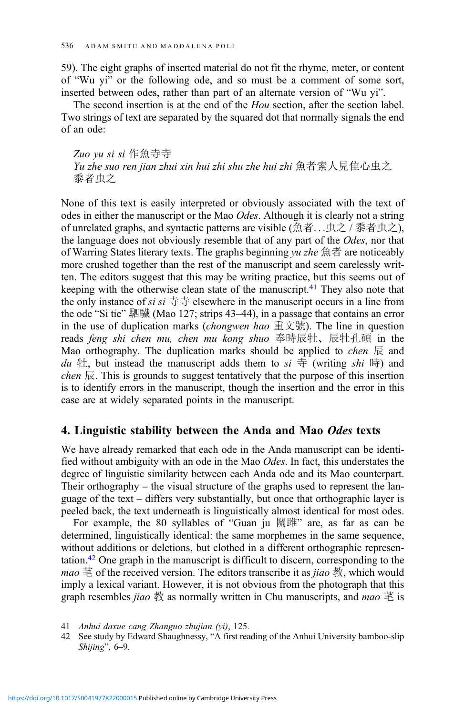59). The eight graphs of inserted material do not fit the rhyme, meter, or content of "Wu yi" or the following ode, and so must be a comment of some sort, inserted between odes, rather than part of an alternate version of "Wu yi".

The second insertion is at the end of the *Hou* section, after the section label. Two strings of text are separated by the squared dot that normally signals the end of an ode:

Zuo yu si si 作魚寺寺 Yu zhe suo ren jian zhui xin hui zhi shu zhe hui zhi 魚者索人見隹心虫之 黍者虫之

None of this text is easily interpreted or obviously associated with the text of odes in either the manuscript or the Mao *Odes*. Although it is clearly not a string of unrelated graphs, and syntactic patterns are visible (魚者...虫之 / 黍者虫之), the language does not obviously resemble that of any part of the Odes, nor that of Warring States literary texts. The graphs beginning  $yu$  zhe 魚者 are noticeably more crushed together than the rest of the manuscript and seem carelessly written. The editors suggest that this may be writing practice, but this seems out of keeping with the otherwise clean state of the manuscript. $41$  They also note that the only instance of si si  $\ddot{\exists} \ddot{\exists}$  elsewhere in the manuscript occurs in a line from the ode "Si tie" 駟驖 (Mao 127; strips 43–44), in a passage that contains an error in the use of duplication marks (*chongwen hao* 重文號). The line in question reads feng shi chen mu, chen mu kong shuo 奉時辰牡、辰牡孔碩 in the Mao orthography. The duplication marks should be applied to *chen*  $\overline{\mathbb{R}}$  and du 牡, but instead the manuscript adds them to  $si \oplus$  (writing shi 時) and chen  $\overline{\mathbb{R}}$ . This is grounds to suggest tentatively that the purpose of this insertion is to identify errors in the manuscript, though the insertion and the error in this case are at widely separated points in the manuscript.

## 4. Linguistic stability between the Anda and Mao Odes texts

We have already remarked that each ode in the Anda manuscript can be identified without ambiguity with an ode in the Mao Odes. In fact, this understates the degree of linguistic similarity between each Anda ode and its Mao counterpart. Their orthography – the visual structure of the graphs used to represent the language of the text – differs very substantially, but once that orthographic layer is peeled back, the text underneath is linguistically almost identical for most odes.

For example, the 80 syllables of "Guan ju 關雎" are, as far as can be determined, linguistically identical: the same morphemes in the same sequence, without additions or deletions, but clothed in a different orthographic representation.42 One graph in the manuscript is difficult to discern, corresponding to the *mao*  $\ddot{\equiv}$  of the received version. The editors transcribe it as *jiao*  $\ddot{\equiv}$ , which would imply a lexical variant. However, it is not obvious from the photograph that this graph resembles *jiao* 教 as normally written in Chu manuscripts, and *mao* 芼 is

<sup>41</sup> Anhui daxue cang Zhanguo zhujian (yi), 125.

<sup>42</sup> See study by Edward Shaughnessy, "A first reading of the Anhui University bamboo-slip Shijing", 6–9.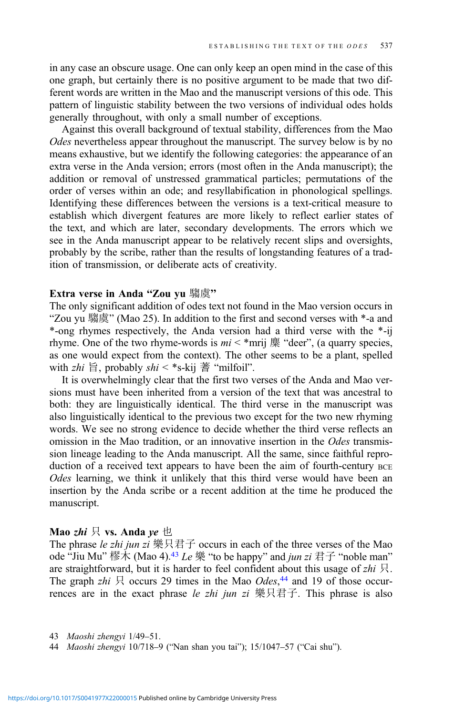in any case an obscure usage. One can only keep an open mind in the case of this one graph, but certainly there is no positive argument to be made that two different words are written in the Mao and the manuscript versions of this ode. This pattern of linguistic stability between the two versions of individual odes holds generally throughout, with only a small number of exceptions.

Against this overall background of textual stability, differences from the Mao Odes nevertheless appear throughout the manuscript. The survey below is by no means exhaustive, but we identify the following categories: the appearance of an extra verse in the Anda version; errors (most often in the Anda manuscript); the addition or removal of unstressed grammatical particles; permutations of the order of verses within an ode; and resyllabification in phonological spellings. Identifying these differences between the versions is a text-critical measure to establish which divergent features are more likely to reflect earlier states of the text, and which are later, secondary developments. The errors which we see in the Anda manuscript appear to be relatively recent slips and oversights, probably by the scribe, rather than the results of longstanding features of a tradition of transmission, or deliberate acts of creativity.

## Extra verse in Anda "Zou yu 騶虞"

The only significant addition of odes text not found in the Mao version occurs in "Zou yu 騶虞" (Mao 25). In addition to the first and second verses with \*-a and \*-ong rhymes respectively, the Anda version had a third verse with the \*-ij rhyme. One of the two rhyme-words is  $mi <$ \*mrij  $\frac{m}{m}$  "deer", (a quarry species, as one would expect from the context). The other seems to be a plant, spelled with  $zhi \nvert \nvert$ , probably  $\mathit{shi}$  < \*s-kij 蓍 "milfoil".

It is overwhelmingly clear that the first two verses of the Anda and Mao versions must have been inherited from a version of the text that was ancestral to both: they are linguistically identical. The third verse in the manuscript was also linguistically identical to the previous two except for the two new rhyming words. We see no strong evidence to decide whether the third verse reflects an omission in the Mao tradition, or an innovative insertion in the Odes transmission lineage leading to the Anda manuscript. All the same, since faithful reproduction of a received text appears to have been the aim of fourth-century BCE Odes learning, we think it unlikely that this third verse would have been an insertion by the Anda scribe or a recent addition at the time he produced the manuscript.

## Mao zhi  $\boxtimes$  vs. Anda ye  $\boxplus$

The phrase *le zhi jun zi* 樂只君子 occurs in each of the three verses of the Mao ode "Jiu Mu" 樛木 (Mao 4).<sup>43</sup> Le 樂 "to be happy" and *jun zi* 君子 "noble man" are straightforward, but it is harder to feel confident about this usage of  $zhi$   $\Box$ . The graph zhi  $\overline{R}$  occurs 29 times in the Mao *Odes*,<sup>44</sup> and 19 of those occurrences are in the exact phrase le zhi jun zi 樂只君子. This phrase is also

<sup>43</sup> Maoshi zhengyi 1/49–51.

<sup>44</sup> Maoshi zhengyi 10/718–9 ("Nan shan you tai"); 15/1047–57 ("Cai shu").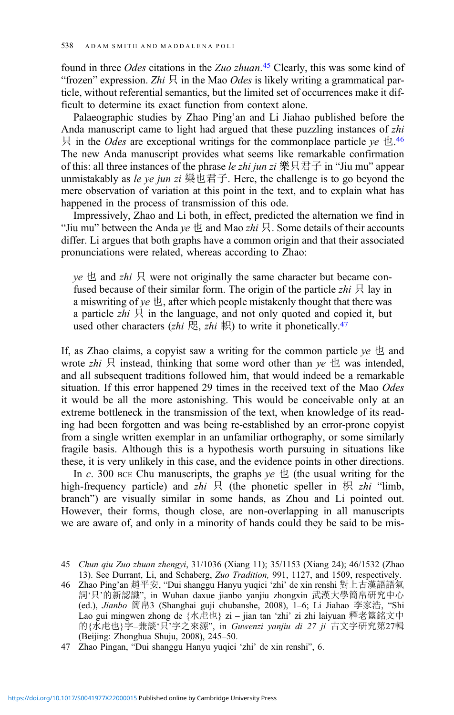found in three *Odes* citations in the Zuo zhuan.<sup>45</sup> Clearly, this was some kind of "frozen" expression. Zhi  $\mathcal{R}$  in the Mao *Odes* is likely writing a grammatical particle, without referential semantics, but the limited set of occurrences make it difficult to determine its exact function from context alone.

Palaeographic studies by Zhao Ping'an and Li Jiahao published before the Anda manuscript came to light had argued that these puzzling instances of zhi  $\beta$  in the *Odes* are exceptional writings for the commonplace particle ye  $\pm$ .<sup>46</sup> The new Anda manuscript provides what seems like remarkable confirmation of this: all three instances of the phrase le zhi jun zi 樂只君子 in "Jiu mu" appear unmistakably as le ye jun zi 樂也君子. Here, the challenge is to go beyond the mere observation of variation at this point in the text, and to explain what has happened in the process of transmission of this ode.

Impressively, Zhao and Li both, in effect, predicted the alternation we find in "Jiu mu" between the Anda ye  $\uplus$  and Mao zhi  $\uplus$ . Some details of their accounts differ. Li argues that both graphs have a common origin and that their associated pronunciations were related, whereas according to Zhao:

 $ye \Delta$  and zhi  $\Box$  were not originally the same character but became confused because of their similar form. The origin of the particle zhi  $\beta$  lay in a miswriting of  $ye \text{ }\mathcal{L}$ , after which people mistakenly thought that there was a particle zhi  $\boxtimes$  in the language, and not only quoted and copied it, but used other characters (zhi 咫, zhi 軹) to write it phonetically.<sup>47</sup>

If, as Zhao claims, a copyist saw a writing for the common particle  $ye \triangle$  and wrote zhi  $\mathcal{R}$  instead, thinking that some word other than ye  $\mathcal{L}$  was intended, and all subsequent traditions followed him, that would indeed be a remarkable situation. If this error happened 29 times in the received text of the Mao Odes it would be all the more astonishing. This would be conceivable only at an extreme bottleneck in the transmission of the text, when knowledge of its reading had been forgotten and was being re-established by an error-prone copyist from a single written exemplar in an unfamiliar orthography, or some similarly fragile basis. Although this is a hypothesis worth pursuing in situations like these, it is very unlikely in this case, and the evidence points in other directions.

In c. 300 BCE Chu manuscripts, the graphs  $ye \text{ } \uplus$  (the usual writing for the high-frequency particle) and zhi  $\forall$  (the phonetic speller in  $\forall$   $\forall$  zhi "limb, branch") are visually similar in some hands, as Zhou and Li pointed out. However, their forms, though close, are non-overlapping in all manuscripts we are aware of, and only in a minority of hands could they be said to be mis-

<sup>45</sup> Chun qiu Zuo zhuan zhengyi, 31/1036 (Xiang 11); 35/1153 (Xiang 24); 46/1532 (Zhao 13). See Durrant, Li, and Schaberg, Zuo Tradition, 991, 1127, and 1509, respectively.

<sup>46</sup> Zhao Ping'an 趙平安, "Dui shanggu Hanyu yuqici 'zhi' de xin renshi 對上古漢語語氣 詞'只'的新認識", in Wuhan daxue jianbo yanjiu zhongxin 武漢大學簡帛研究中心 (ed.), Jianbo 簡帛3 (Shanghai guji chubanshe, 2008), 1–6; Li Jiahao 李家浩, "Shi Lao gui mingwen zhong de {水虍也} zi – jian tan 'zhi' zi zhi laiyuan 釋老簋銘文中 的 $\{K,E|t\}\neq -\frac{1}{2}$ 談'只'字之來源", in Guwenzi vanjiu di 27 ji 古文字研究第27輯 (Beijing: Zhonghua Shuju, 2008), 245–50.

<sup>47</sup> Zhao Pingan, "Dui shanggu Hanyu yuqici 'zhi' de xin renshi", 6.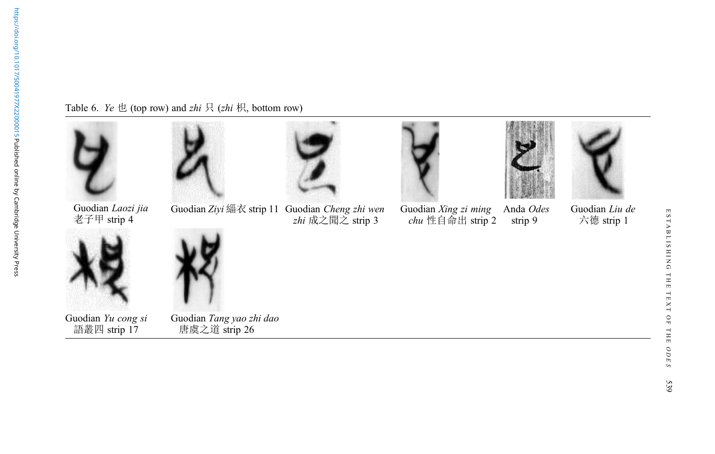<span id="page-24-0"></span>Table 6. Ye  $\pm$  (top row) and zhi  $\frac{1}{2}$  (zhi  $\frac{1}{2}$ ), bottom row)

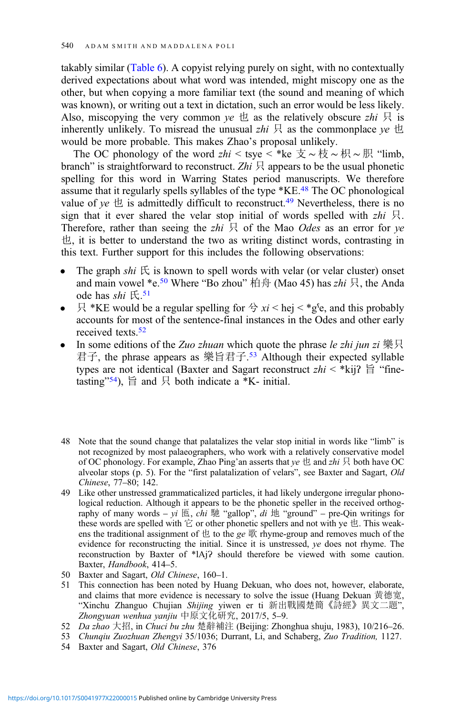takably similar [\(Table 6](#page-24-0)). A copyist relying purely on sight, with no contextually derived expectations about what word was intended, might miscopy one as the other, but when copying a more familiar text (the sound and meaning of which was known), or writing out a text in dictation, such an error would be less likely. Also, miscopying the very common  $ve \&$  as the relatively obscure  $zhi \not\sqsubseteq$  is inherently unlikely. To misread the unusual  $zhi \nvert R$  as the commonplace ye  $\pm$ would be more probable. This makes Zhao's proposal unlikely.

The OC phonology of the word zhi < tsye < \*ke  $\pm \sim \frac{1}{10} \sim \frac{1}{10}$  "limb, branch" is straightforward to reconstruct. Zhi  $\mathcal{R}$  appears to be the usual phonetic spelling for this word in Warring States period manuscripts. We therefore assume that it regularly spells syllables of the type \*KE.48 The OC phonological value of ye  $\pm$  is admittedly difficult to reconstruct.<sup>49</sup> Nevertheless, there is no sign that it ever shared the velar stop initial of words spelled with  $zhi \nvert R$ . Therefore, rather than seeing the zhi  $\overline{R}$  of the Mao *Odes* as an error for ye 也, it is better to understand the two as writing distinct words, contrasting in this text. Further support for this includes the following observations:

- The graph shi  $E$  is known to spell words with velar (or velar cluster) onset and main vowel \*e.<sup>50</sup> Where "Bo zhou" 柏舟 (Mao 45) has zhi 只, the Anda ode has *shi* 氏.<sup>51</sup>
- $\mathbb{R}$  \*KE would be a regular spelling for  $\hat{\sigma}$  xi < hej < \*g<sup>s</sup>e, and this probably accounts for most of the sentence-final instances in the Odes and other early received texts.<sup>52</sup>
- In some editions of the Zuo zhuan which quote the phrase le zhi jun zi  $\mathcal{H}$ 君子, the phrase appears as 樂旨君子. <sup>53</sup> Although their expected syllable types are not identical (Baxter and Sagart reconstruct  $zhi < *kii$ ?  $\theta$  "finetasting"<sup>54</sup>),  $\Xi$  and  $\Xi$  both indicate a \*K- initial.
- 48 Note that the sound change that palatalizes the velar stop initial in words like "limb" is not recognized by most palaeographers, who work with a relatively conservative model of OC phonology. For example, Zhao Ping'an asserts that  $ye \Delta$  and  $zhi \Box$  both have OC alveolar stops (p. 5). For the "first palatalization of velars", see Baxter and Sagart, Old Chinese, 77–80; 142.
- 49 Like other unstressed grammaticalized particles, it had likely undergone irregular phonological reduction. Although it appears to be the phonetic speller in the received orthography of many words – yi  $\mathbb E$ , *chi* 馳 "gallop", *di* 地 "ground" – pre-Qin writings for these words are spelled with  $\overleftrightarrow{E}$  or other phonetic spellers and not with ye  $\overleftrightarrow{E}$ . This weakens the traditional assignment of  $\pm$  to the ge  $\mathbb R$  rhyme-group and removes much of the evidence for reconstructing the initial. Since it is unstressed, ye does not rhyme. The reconstruction by Baxter of \*lAj? should therefore be viewed with some caution. Baxter, Handbook, 414–5.
- 50 Baxter and Sagart, Old Chinese, 160-1.
- 51 This connection has been noted by Huang Dekuan, who does not, however, elaborate, and claims that more evidence is necessary to solve the issue (Huang Dekuan 黄德宽, "Xinchu Zhanguo Chujian Shijing yiwen er ti 新出戰國楚簡《詩經》異文二題", Zhongyuan wenhua yanjiu 中原文化研究, 2017/5, 5–9.
- 52 Da zhao 大招, in Chuci bu zhu 楚辭補注 (Beijing: Zhonghua shuju, 1983), 10/216–26.
- 53 Chunqiu Zuozhuan Zhengyi 35/1036; Durrant, Li, and Schaberg, Zuo Tradition, 1127.
- 54 Baxter and Sagart, Old Chinese, 376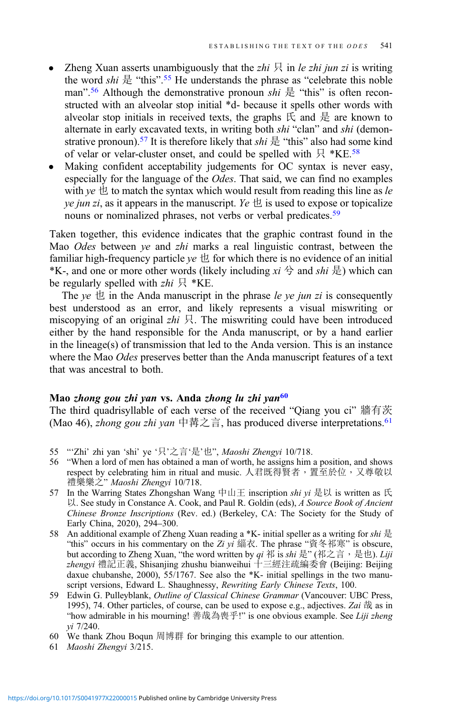- Zheng Xuan asserts unambiguously that the zhi  $\mathcal{R}$  in le zhi jun zi is writing the word *shi*  $\frac{1}{6}$  "this".<sup>55</sup> He understands the phrase as "celebrate this noble man".<sup>56</sup> Although the demonstrative pronoun shi  $\frac{1}{k}$  "this" is often reconstructed with an alveolar stop initial \*d- because it spells other words with alveolar stop initials in received texts, the graphs  $E$  and  $E$  are known to alternate in early excavated texts, in writing both shi "clan" and shi (demonstrative pronoun).<sup>57</sup> It is therefore likely that *shi*  $\frac{1}{k}$  "this" also had some kind of velar or velar-cluster onset, and could be spelled with  $\frac{1}{2}$  \*KE.<sup>58</sup>
- Making confident acceptability judgements for OC syntax is never easy, especially for the language of the Odes. That said, we can find no examples with ye  $\pm$  to match the syntax which would result from reading this line as le *ye jun zi*, as it appears in the manuscript. Ye  $\pm$  is used to expose or topicalize nouns or nominalized phrases, not verbs or verbal predicates.<sup>59</sup>

Taken together, this evidence indicates that the graphic contrast found in the Mao Odes between ye and zhi marks a real linguistic contrast, between the familiar high-frequency particle  $ve \not\sqcup$  for which there is no evidence of an initial <sup>\*</sup>K-, and one or more other words (likely including  $xi \nleftrightarrow$  and  $shi \nleftrightarrow$ ) which can be regularly spelled with  $zhi \nvert R * KE$ .

The ye  $\pm$  in the Anda manuscript in the phrase le ye jun zi is consequently best understood as an error, and likely represents a visual miswriting or miscopying of an original zhi  $\beta$ . The miswriting could have been introduced either by the hand responsible for the Anda manuscript, or by a hand earlier in the lineage(s) of transmission that led to the Anda version. This is an instance where the Mao Odes preserves better than the Anda manuscript features of a text that was ancestral to both.

#### Mao zhong gou zhi yan vs. Anda zhong lu zhi yan<sup>60</sup>

The third quadrisyllable of each verse of the received "Qiang you ci" 牆有茨 (Mao 46), *zhong gou zhi yan* 中冓之言, has produced diverse interpretations.<sup>61</sup>

- 55 "'Zhi' zhi yan 'shi' ye '只'之言'是'也", Maoshi Zhengyi 10/718.
- 56 "When a lord of men has obtained a man of worth, he assigns him a position, and shows respect by celebrating him in ritual and music. 人君既得賢者,置至於位,又尊敬以 禮樂樂之" Maoshi Zhengyi 10/718.
- 57 In the Warring States Zhongshan Wang 中山王 inscription shi yi 是以 is written as 氏 以. See study in Constance A. Cook, and Paul R. Goldin (eds), A Source Book of Ancient Chinese Bronze Inscriptions (Rev. ed.) (Berkeley, CA: The Society for the Study of Early China, 2020), 294–300.
- 58 An additional example of Zheng Xuan reading a \*K- initial speller as a writing for *shi*  $\frac{1}{k}$ "this" occurs in his commentary on the Zi yi 緇衣. The phrase "資冬祁寒" is obscure, but according to Zheng Xuan, "the word written by qi 祁 is shi 是" (祁之言, 是也). Liji zhengyi 禮記正義, Shisanjing zhushu bianweihui 十三經注疏編委會 (Beijing: Beijing daxue chubanshe, 2000), 55/1767. See also the \*K- initial spellings in the two manuscript versions, Edward L. Shaughnessy, Rewriting Early Chinese Texts, 100.
- 59 Edwin G. Pulleyblank, Outline of Classical Chinese Grammar (Vancouver: UBC Press, 1995), 74. Other particles, of course, can be used to expose e.g., adjectives. Zai  $\frac{4}{100}$  as in "how admirable in his mourning! 善哉為喪乎!" is one obvious example. See Liji zheng yi 7/240.
- 60 We thank Zhou Boqun 周博群 for bringing this example to our attention.
- 61 Maoshi Zhengyi 3/215.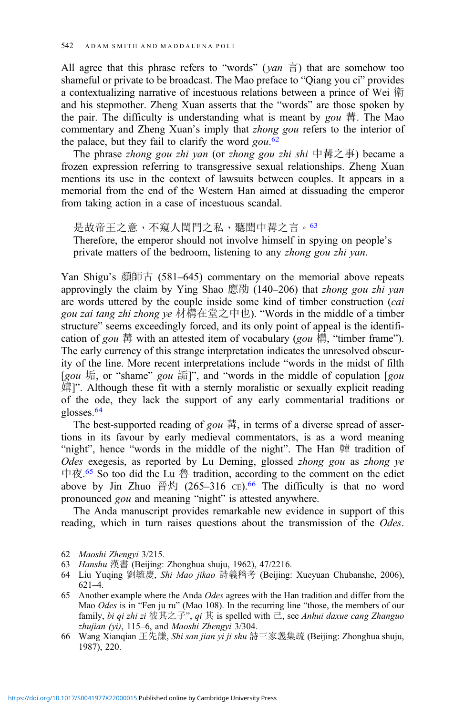All agree that this phrase refers to "words" ( $yan \equiv$ ) that are somehow too shameful or private to be broadcast. The Mao preface to "Qiang you ci" provides a contextualizing narrative of incestuous relations between a prince of Wei 衛 and his stepmother. Zheng Xuan asserts that the "words" are those spoken by the pair. The difficulty is understanding what is meant by  $g_{0}u \, \ddot{\bar{F}}$ . The Mao commentary and Zheng Xuan's imply that zhong gou refers to the interior of the palace, but they fail to clarify the word  $gou$ .<sup>62</sup>

The phrase *zhong gou zhi yan* (or *zhong gou zhi shi* 中冓之事) became a frozen expression referring to transgressive sexual relationships. Zheng Xuan mentions its use in the context of lawsuits between couples. It appears in a memorial from the end of the Western Han aimed at dissuading the emperor from taking action in a case of incestuous scandal.

是故帝王之意,不窺人閨門之私,聽聞中冓之言。63 Therefore, the emperor should not involve himself in spying on people's private matters of the bedroom, listening to any zhong gou zhi yan.

Yan Shigu's 顏師古 (581–645) commentary on the memorial above repeats approvingly the claim by Ying Shao 應劭 (140–206) that zhong gou zhi yan are words uttered by the couple inside some kind of timber construction (cai gou zai tang zhi zhong ye 材構在堂之中也). "Words in the middle of a timber structure" seems exceedingly forced, and its only point of appeal is the identification of *gou* 冓 with an attested item of vocabulary (*gou* 橚, "timber frame"). The early currency of this strange interpretation indicates the unresolved obscurity of the line. More recent interpretations include "words in the midst of filth [gou  $#$ , or "shame" gou  $#$ ]", and "words in the middle of copulation [gou 媾]". Although these fit with a sternly moralistic or sexually explicit reading of the ode, they lack the support of any early commentarial traditions or glosses.64

The best-supported reading of gou  $\ddot{\mathbb{F}}$ , in terms of a diverse spread of assertions in its favour by early medieval commentators, is as a word meaning "night", hence "words in the middle of the night". The Han 韓 tradition of Odes exegesis, as reported by Lu Deming, glossed zhong gou as zhong ye 中夜. <sup>65</sup> So too did the Lu 魯 tradition, according to the comment on the edict above by Jin Zhuo 晉灼 (265–316 CE).<sup>66</sup> The difficulty is that no word pronounced *gou* and meaning "night" is attested anywhere.

The Anda manuscript provides remarkable new evidence in support of this reading, which in turn raises questions about the transmission of the *Odes*.

<sup>62</sup> Maoshi Zhengyi 3/215.

<sup>63</sup> Hanshu 漢書 (Beijing: Zhonghua shuju, 1962), 47/2216.

<sup>64</sup> Liu Yuqing 劉毓慶, Shi Mao jikao 詩義稽考 (Beijing: Xueyuan Chubanshe, 2006), 621–4.

<sup>65</sup> Another example where the Anda Odes agrees with the Han tradition and differ from the Mao Odes is in "Fen ju ru" (Mao 108). In the recurring line "those, the members of our family, bi qi zhi zi 彼其之子", qi 其 is spelled with  $\overline{C}$ , see Anhui daxue cang Zhanguo zhujian (yi), 115–6, and Maoshi Zhengyi 3/304.

<sup>66</sup> Wang Xianqian 王先謙, Shi san jian yi ji shu 詩三家義集疏 (Beijing: Zhonghua shuju, 1987), 220.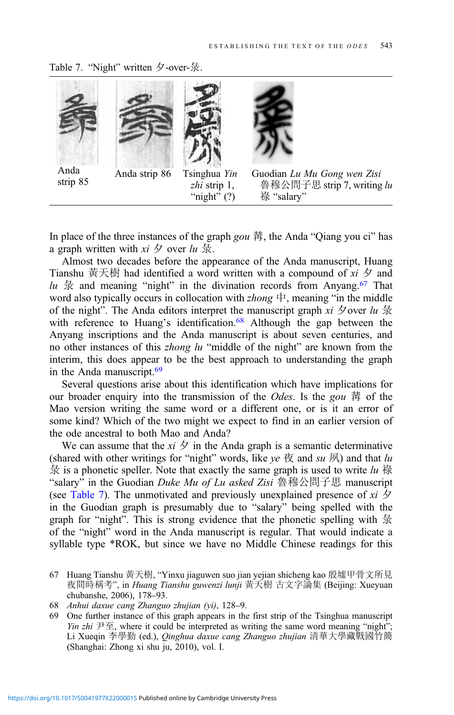Table 7. "Night" written 夕-over-彔.



Anda





Anda  $\frac{1}{\text{A} \cdot \text{A}}$  Anda strip 86 Tsinghua Yin zhi strip 1, "night"  $(?)$ 



Guodian Lu Mu Gong wen Zisi 魯穆公問子思 strip 7, writing lu 祿 "salary"

In place of the three instances of the graph gou  $\ddot{\bar{\pi}}$ , the Anda "Qiang you ci" has a graph written with  $xi \not\infty$  over  $lu \not\exists x$ .

Almost two decades before the appearance of the Anda manuscript, Huang Tianshu 黃天樹 had identified a word written with a compound of  $xi \gtrsim$  and lu  $\frac{1}{x}$  and meaning "night" in the divination records from Anyang.<sup>67</sup> That word also typically occurs in collocation with  $zhong \nightharpoonup$ , meaning "in the middle of the night". The Anda editors interpret the manuscript graph xi 夕over  $lu \frac{1}{X}$ with reference to Huang's identification.<sup>68</sup> Although the gap between the Anyang inscriptions and the Anda manuscript is about seven centuries, and no other instances of this zhong lu "middle of the night" are known from the interim, this does appear to be the best approach to understanding the graph in the Anda manuscript.<sup>69</sup>

Several questions arise about this identification which have implications for our broader enquiry into the transmission of the *Odes*. Is the gou  $\ddot{\mathbb{F}}$  of the Mao version writing the same word or a different one, or is it an error of some kind? Which of the two might we expect to find in an earlier version of the ode ancestral to both Mao and Anda?

We can assume that the  $xi \not\supset \overline{f}$  in the Anda graph is a semantic determinative (shared with other writings for "night" words, like ye  $\overline{\mathcal{R}}$  and su  $\overline{\mathcal{R}}$ ) and that lu  $\frac{1}{3}$  is a phonetic speller. Note that exactly the same graph is used to write lu 祿 "salary" in the Guodian *Duke Mu of Lu asked Zisi* 魯穆公問子思 manuscript (see Table 7). The unmotivated and previously unexplained presence of xi  $\oint$ in the Guodian graph is presumably due to "salary" being spelled with the graph for "night". This is strong evidence that the phonetic spelling with  $\frac{1}{\mathcal{R}}$ of the "night" word in the Anda manuscript is regular. That would indicate a syllable type \*ROK, but since we have no Middle Chinese readings for this

- 67 Huang Tianshu 黃天樹, "Yinxu jiaguwen suo jian yejian shicheng kao 殷墟甲骨文所見 夜間時稱考", in Huang Tianshu guwenzi lunji 黃天樹 古文字論集 (Beijing: Xueyuan chubanshe, 2006), 178–93.
- 68 Anhui daxue cang Zhanguo zhujian (yi), 128–9.
- 69 One further instance of this graph appears in the first strip of the Tsinghua manuscript *Yin zhi*  $\forall F \in \mathcal{F}$ , where it could be interpreted as writing the same word meaning "night"; Li Xueqin 李學勤 (ed.), Qinghua daxue cang Zhanguo zhujian 清華大學藏戰國竹簡 (Shanghai: Zhong xi shu ju, 2010), vol. I.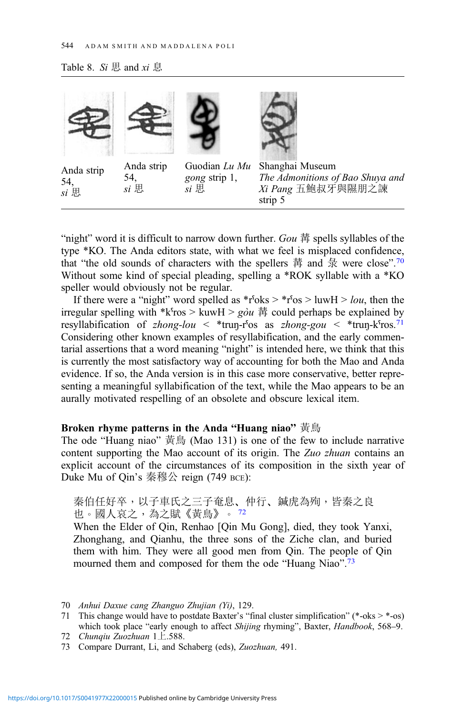#### <span id="page-29-0"></span>Table 8.  $Si$  思 and  $xi$  息



"night" word it is difficult to narrow down further.  $Gou \nleftrightarrow$  spells syllables of the type \*KO. The Anda editors state, with what we feel is misplaced confidence, that "the old sounds of characters with the spellers 冓 and  $\frac{1}{\mathcal{R}}$  were close".<sup>70</sup> Without some kind of special pleading, spelling a \*ROK syllable with a \*KO speller would obviously not be regular.

If there were a "night" word spelled as  $*r^6$ oks  $>$   $*r^6$ os  $>$  luwH  $>$  *lou*, then the irregular spelling with \*k<sup>oros</sup> > kuw $H > g \dot{\theta} u$  冓 could perhaps be explained by resyllabification of zhong-lou < \*trun-r<sup>os</sup> as zhong-gou < \*trun-k<sup>5</sup>ros.<sup>71</sup> Considering other known examples of resyllabification, and the early commentarial assertions that a word meaning "night" is intended here, we think that this is currently the most satisfactory way of accounting for both the Mao and Anda evidence. If so, the Anda version is in this case more conservative, better representing a meaningful syllabification of the text, while the Mao appears to be an aurally motivated respelling of an obsolete and obscure lexical item.

## Broken rhyme patterns in the Anda "Huang niao" 黃鳥

The ode "Huang niao" 黃鳥 (Mao 131) is one of the few to include narrative content supporting the Mao account of its origin. The Zuo zhuan contains an explicit account of the circumstances of its composition in the sixth year of Duke Mu of Qin's 秦穆公 reign (749 BCE):

秦伯任好卒,以子車氏之三子奄息、仲行、鍼虎為殉,皆秦之良 也。國人哀之,為之賦《黃鳥》。 <sup>72</sup>

When the Elder of Qin, Renhao [Qin Mu Gong], died, they took Yanxi, Zhonghang, and Qianhu, the three sons of the Ziche clan, and buried them with him. They were all good men from Qin. The people of Qin mourned them and composed for them the ode "Huang Niao".<sup>73</sup>

- 71 This change would have to postdate Baxter's "final cluster simplification" (\*-oks  $>$  \*-os) which took place "early enough to affect Shijing rhyming", Baxter, Handbook, 568–9. 72 Chunqiu Zuozhuan 1上.588.
- 73 Compare Durrant, Li, and Schaberg (eds), Zuozhuan, 491.

<sup>70</sup> Anhui Daxue cang Zhanguo Zhujian (Yi), 129.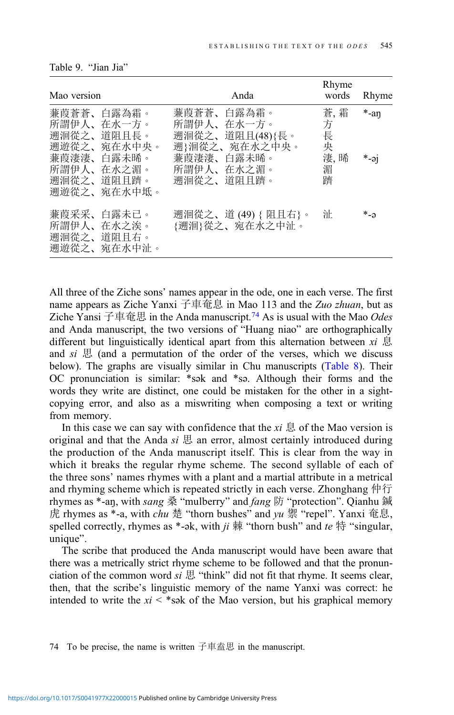| Mao version |                                                       | Anda                                                         | Rhyme<br>words     | Rhyme   |  |
|-------------|-------------------------------------------------------|--------------------------------------------------------------|--------------------|---------|--|
|             | 蒹葭蒼蒼、白露為霜。<br>所謂伊人、在水一方。<br>遡洄從之、道阻且長。<br>遡遊從之、宛在水中央。 | 蒹葭蒼蒼、白露為霜。<br>所謂伊人、在水一方。<br>遡洄從之、道阻且(48){長。<br>遡}洄從之、宛在水之中央。 | 蒼,霜<br>方<br>長<br>央 | $*$ -an |  |
|             | 蒹葭淒淒、白露未晞。<br>所謂伊人、在水之湄。<br>遡洄從之、道阻且躋。<br>遡遊從之、宛在水中坻。 | 蒹葭淒淒、白露未晞。<br>所謂伊人、在水之湄。<br>遡洄從之、道阻且躋。                       | 淒, 晞<br>湄<br>躋     | $*$ -əj |  |
|             | 蒹葭采采、白露未已。<br>所謂伊人、在水之涘。<br>遡洄從之、道阻且右。<br>遡遊從之、宛在水中沚。 | 遡洄從之、道(49){阻且右}。<br>{遡洄}從之、宛在水之中沚。                           | 沚                  | * ລ     |  |

<span id="page-30-0"></span>

|  | Table 9. |  | "Jian Jia" |  |
|--|----------|--|------------|--|
|--|----------|--|------------|--|

All three of the Ziche sons' names appear in the ode, one in each verse. The first name appears as Ziche Yanxi 子車奄息 in Mao 113 and the Zuo zhuan, but as Ziche Yansi 子車奄思 in the Anda manuscript.<sup>74</sup> As is usual with the Mao Odes and Anda manuscript, the two versions of "Huang niao" are orthographically different but linguistically identical apart from this alternation between  $xi \otimes \overline{B}$ and  $si \not\equiv$  (and a permutation of the order of the verses, which we discuss below). The graphs are visually similar in Chu manuscripts ([Table 8\)](#page-29-0). Their OC pronunciation is similar: \*sək and \*sə. Although their forms and the words they write are distinct, one could be mistaken for the other in a sightcopying error, and also as a miswriting when composing a text or writing from memory.

In this case we can say with confidence that the  $xi \otimes f$  the Mao version is original and that the Anda si  $\mathbb B$  an error, almost certainly introduced during the production of the Anda manuscript itself. This is clear from the way in which it breaks the regular rhyme scheme. The second syllable of each of the three sons' names rhymes with a plant and a martial attribute in a metrical and rhyming scheme which is repeated strictly in each verse. Zhonghang 仲行 rhymes as \*-an, with sang 桑 "mulberry" and fang 防 "protection". Qianhu 鍼 虎 rhymes as \*-a, with *chu* 楚 "thorn bushes" and yu 禦 "repel". Yanxi 奄息, spelled correctly, rhymes as \*-ək, with  $ji \nleftrightarrow$  "thorn bush" and te  $\nleftrightarrow$  "singular, unique".

The scribe that produced the Anda manuscript would have been aware that there was a metrically strict rhyme scheme to be followed and that the pronunciation of the common word  $si \mathbb{B}$  "think" did not fit that rhyme. It seems clear, then, that the scribe's linguistic memory of the name Yanxi was correct: he intended to write the  $xi <$ \*sək of the Mao version, but his graphical memory

74 To be precise, the name is written 子車盍思 in the manuscript.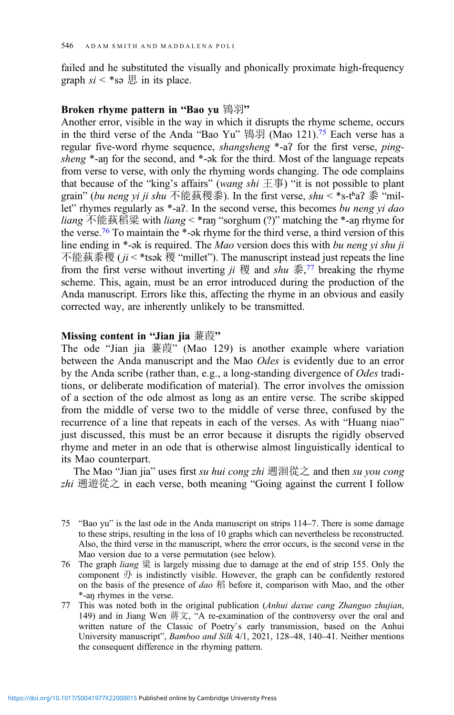failed and he substituted the visually and phonically proximate high-frequency graph  $si <$ \*sə  $\boxplus$  in its place.

## Broken rhyme pattern in "Bao yu 鴇羽"

Another error, visible in the way in which it disrupts the rhyme scheme, occurs in the third verse of the Anda "Bao Yu" 鴇羽 (Mao 121).<sup>75</sup> Each verse has a regular five-word rhyme sequence, shangsheng \*-aʔ for the first verse, pingsheng \*-an for the second, and \*-ək for the third. Most of the language repeats from verse to verse, with only the rhyming words changing. The ode complains that because of the "king's affairs" (wang shi  $\pm \bar{\pm}$ ) "it is not possible to plant grain" (bu neng yi ji shu 不能蓺稷黍). In the first verse, shu < \*s-tʰaʔ 黍 "millet" rhymes regularly as \*-a?. In the second verse, this becomes bu neng yi dao *liang* 不能蓺稻粱 with *liang* < \*ran "sorghum (?)" matching the \*-an rhyme for the verse.76 To maintain the \*-ək rhyme for the third verse, a third version of this line ending in \*-ak is required. The Mao version does this with bu neng vi shu ji 不能蓺黍稷 ( $ji$  < \*tsək 稷 "millet"). The manuscript instead just repeats the line from the first verse without inverting  $ji \&$  and  $shu \< \frac{7}{3}$  breaking the rhyme scheme. This, again, must be an error introduced during the production of the Anda manuscript. Errors like this, affecting the rhyme in an obvious and easily corrected way, are inherently unlikely to be transmitted.

## Missing content in "Jian jia 蒹葭"

The ode "Jian jia 蒹葭" (Mao 129) is another example where variation between the Anda manuscript and the Mao Odes is evidently due to an error by the Anda scribe (rather than, e.g., a long-standing divergence of Odes traditions, or deliberate modification of material). The error involves the omission of a section of the ode almost as long as an entire verse. The scribe skipped from the middle of verse two to the middle of verse three, confused by the recurrence of a line that repeats in each of the verses. As with "Huang niao" just discussed, this must be an error because it disrupts the rigidly observed rhyme and meter in an ode that is otherwise almost linguistically identical to its Mao counterpart.

The Mao "Jian jia" uses first su hui cong zhi 遡洄從之 and then su you cong zhi 遡遊從之 in each verse, both meaning "Going against the current I follow

- 76 The graph *liang* 粱 is largely missing due to damage at the end of strip 155. Only the component  $\mathcal D$  is indistinctly visible. However, the graph can be confidently restored on the basis of the presence of dao  $\widehat{r}$  before it, comparison with Mao, and the other \*-aŋ rhymes in the verse.
- 77 This was noted both in the original publication (Anhui daxue cang Zhanguo zhujian, 149) and in Jiang Wen 蔣文, "A re-examination of the controversy over the oral and written nature of the Classic of Poetry's early transmission, based on the Anhui University manuscript", Bamboo and Silk 4/1, 2021, 128–48, 140–41. Neither mentions the consequent difference in the rhyming pattern.

<sup>75</sup> "Bao yu" is the last ode in the Anda manuscript on strips 114–7. There is some damage to these strips, resulting in the loss of 10 graphs which can nevertheless be reconstructed. Also, the third verse in the manuscript, where the error occurs, is the second verse in the Mao version due to a verse permutation (see below).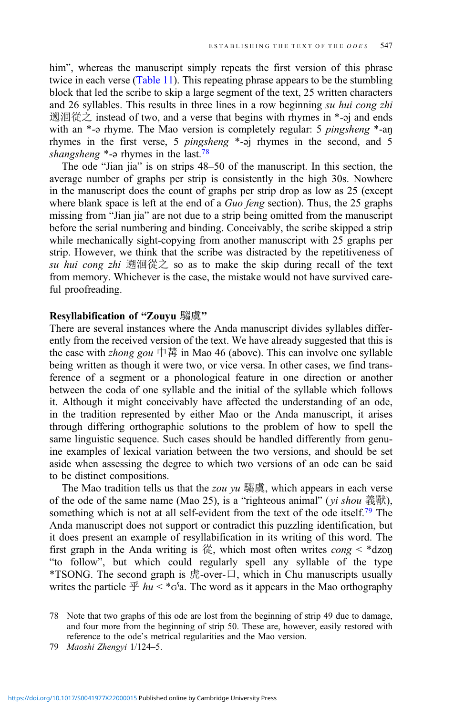him", whereas the manuscript simply repeats the first version of this phrase twice in each verse ([Table 11](#page-36-0)). This repeating phrase appears to be the stumbling block that led the scribe to skip a large segment of the text, 25 written characters and 26 syllables. This results in three lines in a row beginning su hui cong zhi 遡洄從之 instead of two, and a verse that begins with rhymes in \*-əj and ends with an \*-a rhyme. The Mao version is completely regular: 5 *pingsheng* \*-an rhymes in the first verse, 5 pingsheng \*-əj rhymes in the second, and 5 shangsheng  $*$ - $\varphi$  rhymes in the last.<sup>78</sup>

The ode "Jian jia" is on strips 48–50 of the manuscript. In this section, the average number of graphs per strip is consistently in the high 30s. Nowhere in the manuscript does the count of graphs per strip drop as low as 25 (except where blank space is left at the end of a Guo feng section). Thus, the 25 graphs missing from "Jian jia" are not due to a strip being omitted from the manuscript before the serial numbering and binding. Conceivably, the scribe skipped a strip while mechanically sight-copying from another manuscript with 25 graphs per strip. However, we think that the scribe was distracted by the repetitiveness of su hui cong zhi 遡洄從之 so as to make the skip during recall of the text from memory. Whichever is the case, the mistake would not have survived careful proofreading.

## Resyllabification of "Zouyu 騶虞"

There are several instances where the Anda manuscript divides syllables differently from the received version of the text. We have already suggested that this is the case with *zhong gou* 中冓 in Mao 46 (above). This can involve one syllable being written as though it were two, or vice versa. In other cases, we find transference of a segment or a phonological feature in one direction or another between the coda of one syllable and the initial of the syllable which follows it. Although it might conceivably have affected the understanding of an ode, in the tradition represented by either Mao or the Anda manuscript, it arises through differing orthographic solutions to the problem of how to spell the same linguistic sequence. Such cases should be handled differently from genuine examples of lexical variation between the two versions, and should be set aside when assessing the degree to which two versions of an ode can be said to be distinct compositions.

The Mao tradition tells us that the *zou yu* 騶虞, which appears in each verse of the ode of the same name (Mao 25), is a "righteous animal" ( $yi$  shou 義獸), something which is not at all self-evident from the text of the ode itself.<sup>79</sup> The Anda manuscript does not support or contradict this puzzling identification, but it does present an example of resyllabification in its writing of this word. The first graph in the Anda writing is  $\frac{1}{10}$ , which most often writes cong < \*dzon "to follow", but which could regularly spell any syllable of the type \*TSONG. The second graph is 虎-over-口, which in Chu manuscripts usually writes the particle  $\mathcal{F}$  hu < \* $G<sup>s</sup>$ a. The word as it appears in the Mao orthography

<sup>78</sup> Note that two graphs of this ode are lost from the beginning of strip 49 due to damage, and four more from the beginning of strip 50. These are, however, easily restored with reference to the ode's metrical regularities and the Mao version.

<sup>79</sup> Maoshi Zhengyi 1/124–5.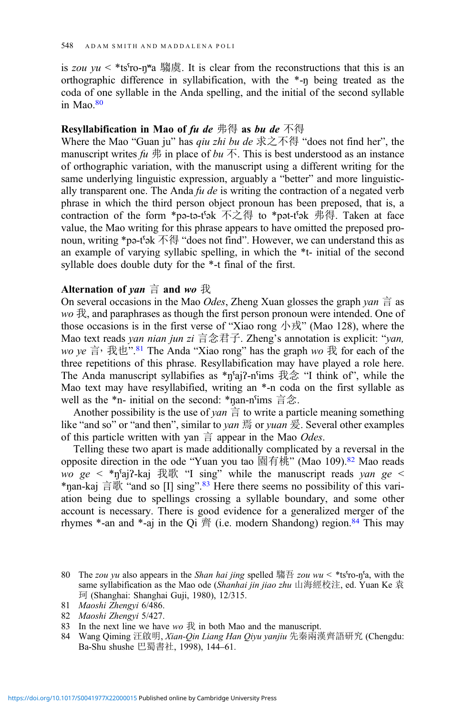is zou  $yu <$ \*tsˤro-ŋʷa 騶虞. It is clear from the reconstructions that this is an orthographic difference in syllabification, with the \*-ŋ being treated as the coda of one syllable in the Anda spelling, and the initial of the second syllable in Mao. $80$ 

## **Resyllabification in Mao of fu de 弗得 as bu de 不得**

Where the Mao "Guan ju" has *qiu zhi bu de* 求之不得 "does not find her", the manuscript writes  $fu \nightharpoonup \hat{m}$  in place of  $bu \nightharpoonup \hat{m}$ . This is best understood as an instance of orthographic variation, with the manuscript using a different writing for the same underlying linguistic expression, arguably a "better" and more linguistically transparent one. The Anda  $fu$  de is writing the contraction of a negated verb phrase in which the third person object pronoun has been preposed, that is, a contraction of the form \*pә-tә-tˤәk 不之得 to \*pәt-tˤәk 弗得. Taken at face value, the Mao writing for this phrase appears to have omitted the preposed pronoun, writing \*pә-tˤәk 不得 "does not find". However, we can understand this as an example of varying syllabic spelling, in which the \*t- initial of the second syllable does double duty for the \*-t final of the first.

## Alternation of *yan*  $\dot{\equiv}$  and *wo*  $\dot{\mathcal{R}}$

On several occasions in the Mao *Odes*, Zheng Xuan glosses the graph *yan*  $\dot{\equiv}$  as  $wo \ddot{\exists}$ , and paraphrases as though the first person pronoun were intended. One of those occasions is in the first verse of "Xiao rong 小戎" (Mao 128), where the Mao text reads yan nian jun zi 言念君子. Zheng's annotation is explicit: "van, wo ye 言, 我也".<sup>81</sup> The Anda "Xiao rong" has the graph wo 我 for each of the three repetitions of this phrase. Resyllabification may have played a role here. The Anda manuscript syllabifies as  $\binom{2}{1}$ -n<sup>c</sup>ims  $\frac{2}{3}$   $\binom{2}{3}$   $\cdots$  think of", while the Mao text may have resyllabified, writing an \*-n coda on the first syllable as well as the \*n- initial on the second: \*ŋan-nˤims 言念.

Another possibility is the use of yan  $\dot{\equiv}$  to write a particle meaning something like "and so" or "and then", similar to *yan* 焉 or *yuan* 爰. Several other examples of this particle written with yan  $\dot{\equiv}$  appear in the Mao *Odes*.

Telling these two apart is made additionally complicated by a reversal in the opposite direction in the ode "Yuan you tao 園有桃" (Mao 109).82 Mao reads  $wo$  ge < \*n<sup>5</sup>aj?-kaj 我歌 "I sing" while the manuscript reads yan ge < \*ŋan-kaj 言歌 "and so [I] sing". <sup>83</sup> Here there seems no possibility of this variation being due to spellings crossing a syllable boundary, and some other account is necessary. There is good evidence for a generalized merger of the rhymes  $*$ -an and  $*$ -aj in the Qi  $\tilde{\mathcal{B}}$  (i.e. modern Shandong) region.<sup>84</sup> This may

84 Wang Qiming 汪啟明, Xian-Qin Liang Han Qiyu yanjiu 先秦兩漢齊語研究 (Chengdu: Ba-Shu shushe 巴蜀書社, 1998), 144–61.

<sup>80</sup> The zou yu also appears in the Shan hai jing spelled 騶吾 zou wu < \*tsˤro-ŋˤa, with the same syllabification as the Mao ode (Shanhai jin jiao zhu 山海經校注, ed. Yuan Ke 袁 珂 (Shanghai: Shanghai Guji, 1980), 12/315.

<sup>81</sup> Maoshi Zhengyi 6/486.

<sup>82</sup> Maoshi Zhengyi 5/427.

<sup>83</sup> In the next line we have  $w_0 \nleftrightarrow w_0$  in both Mao and the manuscript.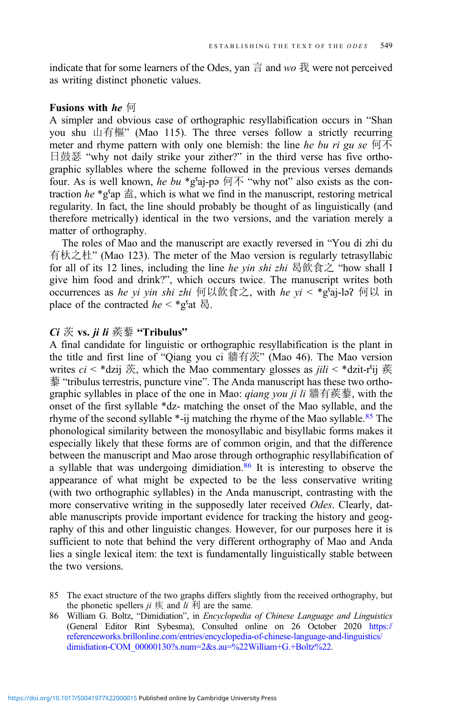indicate that for some learners of the Odes, yan  $\frac{3}{2}$  and wo  $\frac{3}{2}$  were not perceived as writing distinct phonetic values.

## Fusions with he 何

A simpler and obvious case of orthographic resyllabification occurs in "Shan you shu 山有樞" (Mao 115). The three verses follow a strictly recurring meter and rhyme pattern with only one blemish: the line he bu ri gu se  $\overline{m}$ 日鼓瑟 "why not daily strike your zither?" in the third verse has five orthographic syllables where the scheme followed in the previous verses demands four. As is well known, he bu \*gˤaj-pǝ 何不 "why not" also exists as the contraction he \*gˤap 盍, which is what we find in the manuscript, restoring metrical regularity. In fact, the line should probably be thought of as linguistically (and therefore metrically) identical in the two versions, and the variation merely a matter of orthography.

The roles of Mao and the manuscript are exactly reversed in "You di zhi du 有杕之杜" (Mao 123). The meter of the Mao version is regularly tetrasyllabic for all of its 12 lines, including the line he yin shi zhi 曷飲食之 "how shall I give him food and drink?", which occurs twice. The manuscript writes both occurrences as he yi yin shi zhi 何以飲食之, with he yi < \*gˤaj-ləʔ 何以 in place of the contracted  $he < \n\star g$ <sup>s</sup>at  $\overline{g}$ .

## $Ci \nless$  vs.  $ii$   $li$  蒺藜 "Tribulus"

A final candidate for linguistic or orthographic resyllabification is the plant in the title and first line of "Qiang you ci 牆有茨" (Mao 46). The Mao version writes  $ci$  < \*dzij 茨, which the Mao commentary glosses as  $jili$  < \*dzit-rˤij 蒺 藜 "tribulus terrestris, puncture vine". The Anda manuscript has these two orthographic syllables in place of the one in Mao: *qiang you ji li* 牆有蒺藜, with the onset of the first syllable \*dz- matching the onset of the Mao syllable, and the rhyme of the second syllable \*-ij matching the rhyme of the Mao syllable.<sup>85</sup> The phonological similarity between the monosyllabic and bisyllabic forms makes it especially likely that these forms are of common origin, and that the difference between the manuscript and Mao arose through orthographic resyllabification of a syllable that was undergoing dimidiation.86 It is interesting to observe the appearance of what might be expected to be the less conservative writing (with two orthographic syllables) in the Anda manuscript, contrasting with the more conservative writing in the supposedly later received Odes. Clearly, datable manuscripts provide important evidence for tracking the history and geography of this and other linguistic changes. However, for our purposes here it is sufficient to note that behind the very different orthography of Mao and Anda lies a single lexical item: the text is fundamentally linguistically stable between the two versions.

<sup>85</sup> The exact structure of the two graphs differs slightly from the received orthography, but the phonetic spellers  $ji$  疾 and  $li$  利 are the same.

<sup>86</sup> William G. Boltz, "Dimidiation", in Encyclopedia of Chinese Language and Linguistics (General Editor Rint Sybesma), Consulted online on 26 October 2020 [https://](https://referenceworks.brillonline.com/entries/encyclopedia-of-chinese-language-and-linguistics/dimidiation-COM_00000130?s.num=2&s.au=%22William+G.+Boltz%22) [referenceworks.brillonline.com/entries/encyclopedia-of-chinese-language-and-linguistics/](https://referenceworks.brillonline.com/entries/encyclopedia-of-chinese-language-and-linguistics/dimidiation-COM_00000130?s.num=2&s.au=%22William+G.+Boltz%22) [dimidiation-COM\\_00000130?s.num=2&s.au=%22William+G.+Boltz%22.](https://referenceworks.brillonline.com/entries/encyclopedia-of-chinese-language-and-linguistics/dimidiation-COM_00000130?s.num=2&s.au=%22William+G.+Boltz%22)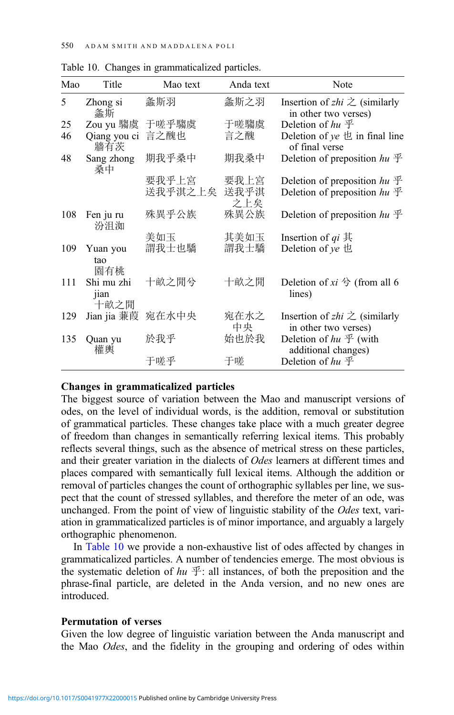| Mao | Title                      | Mao text         | Anda text           | Note                                                                                 |
|-----|----------------------------|------------------|---------------------|--------------------------------------------------------------------------------------|
| 5   | Zhong si<br>螽斯             | 螽斯羽              | 螽斯之羽                | Insertion of <i>zhi</i> $\gtrsim$ (similarly<br>in other two verses)                 |
| 25  | Zou yu 騶虞                  | 于嗟乎騶虞            | 于嗟騶虞                | Deletion of $hu \mathcal{F}$                                                         |
| 46  | Qiang you ci<br>牆有茨        | 言之醜也             | 言之醜                 | Deletion of $ye$ $\pm$ in final line<br>of final verse                               |
| 48  | Sang zhong<br>桑中           | 期我乎桑中            | 期我桑中                | Deletion of preposition $hu \mathcal{F}$                                             |
|     |                            | 要我乎上宫<br>送我乎淇之上矣 | 要我上宮<br>送我乎淇<br>之上矣 | Deletion of preposition $hu \mathcal{F}$<br>Deletion of preposition $hu \mathcal{F}$ |
| 108 | Fen ju ru<br>汾沮洳           | 殊異乎公族            | 殊異公族                | Deletion of preposition $hu \mathcal{F}$                                             |
|     |                            | 美如玉              | 其美如玉                | Insertion of $qi \nightharpoonup \nightharpoonup$                                    |
| 109 | Yuan you<br>tao<br>園有桃     | 謂我士也驕            | 謂我士驕                | Deletion of $ye$ the                                                                 |
| 111 | Shi mu zhi<br>jian<br>十畝之閒 | 十畝之閒兮            | 十畝之閒                | Deletion of xi $\hat{\mathcal{F}}$ (from all 6<br>lines)                             |
| 129 | Jian jia 蒹葭                | 宛在水中央            | 宛在水之<br>中央          | Insertion of <i>zhi</i> $\geq$ (similarly<br>in other two verses)                    |
| 135 | Quan yu<br>權輿              | 於我乎              | 始也於我                | Deletion of $hu \not\mathcal{F}$ (with<br>additional changes)                        |
|     |                            | 于嗟乎              | 于嗟                  | Deletion of $hu \mathcal{F}$                                                         |

Table 10. Changes in grammaticalized particles.

#### Changes in grammaticalized particles

The biggest source of variation between the Mao and manuscript versions of odes, on the level of individual words, is the addition, removal or substitution of grammatical particles. These changes take place with a much greater degree of freedom than changes in semantically referring lexical items. This probably reflects several things, such as the absence of metrical stress on these particles, and their greater variation in the dialects of Odes learners at different times and places compared with semantically full lexical items. Although the addition or removal of particles changes the count of orthographic syllables per line, we suspect that the count of stressed syllables, and therefore the meter of an ode, was unchanged. From the point of view of linguistic stability of the *Odes* text, variation in grammaticalized particles is of minor importance, and arguably a largely orthographic phenomenon.

In Table 10 we provide a non-exhaustive list of odes affected by changes in grammaticalized particles. A number of tendencies emerge. The most obvious is the systematic deletion of  $hu \mathcal{F}$ : all instances, of both the preposition and the phrase-final particle, are deleted in the Anda version, and no new ones are introduced.

## Permutation of verses

Given the low degree of linguistic variation between the Anda manuscript and the Mao Odes, and the fidelity in the grouping and ordering of odes within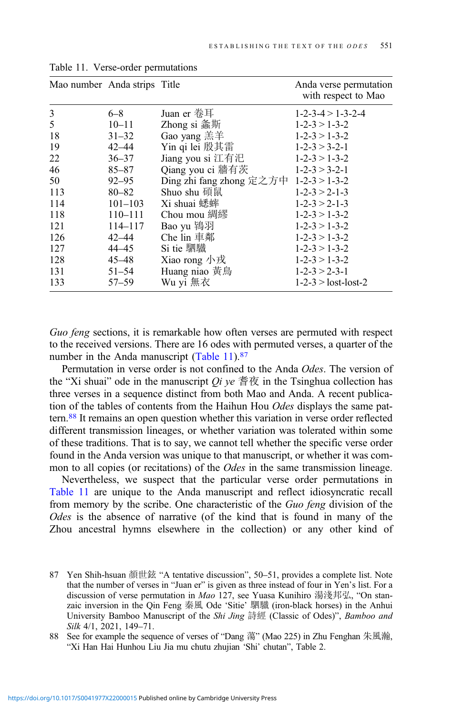| Mao number Anda strips Title |             |                                        | Anda verse permutation<br>with respect to Mao |
|------------------------------|-------------|----------------------------------------|-----------------------------------------------|
| 3                            | $6 - 8$     | Juan er 卷耳                             | $1 - 2 - 3 - 4 > 1 - 3 - 2 - 4$               |
| 5                            | $10 - 11$   | Zhong si 螽斯                            | $1 - 2 - 3 > 1 - 3 - 2$                       |
| 18                           | $31 - 32$   | Gao yang 羔羊                            | $1 - 2 - 3 > 1 - 3 - 2$                       |
| 19                           | $42 - 44$   | Yin qi lei 殷其雷                         | $1 - 2 - 3 > 3 - 2 - 1$                       |
| 22                           | $36 - 37$   | Jiang you si 江有汜                       | $1 - 2 - 3 > 1 - 3 - 2$                       |
| 46                           | $85 - 87$   | Qiang you ci 牆有茨                       | $1 - 2 - 3 > 3 - 2 - 1$                       |
| 50                           | $92 - 95$   | Ding zhi fang zhong 定之方中 1-2-3 > 1-3-2 |                                               |
| 113                          | $80 - 82$   | Shuo shu 碩鼠                            | $1 - 2 - 3 > 2 - 1 - 3$                       |
| 114                          | $101 - 103$ | Xi shuai 蟋蟀                            | $1 - 2 - 3 > 2 - 1 - 3$                       |
| 118                          | $110 - 111$ | Chou mou 綢繆                            | $1 - 2 - 3 > 1 - 3 - 2$                       |
| 121                          | 114–117     | Bao yu 鴇羽                              | $1 - 2 - 3 > 1 - 3 - 2$                       |
| 126                          | $42 - 44$   | Che lin 車鄰                             | $1 - 2 - 3 > 1 - 3 - 2$                       |
| 127                          | 44–45       | Si tie 駟驖                              | $1 - 2 - 3 > 1 - 3 - 2$                       |
| 128                          | 45–48       | Xiao rong 小戎                           | $1 - 2 - 3 > 1 - 3 - 2$                       |
| 131                          | $51 - 54$   | Huang niao 黃鳥                          | $1 - 2 - 3 > 2 - 3 - 1$                       |
| 133                          | $57 - 59$   | Wu yi 無衣                               | $1-2-3$ > lost-lost-2                         |

<span id="page-36-0"></span>Table 11. Verse-order permutations

Guo feng sections, it is remarkable how often verses are permuted with respect to the received versions. There are 16 odes with permuted verses, a quarter of the number in the Anda manuscript (Table 11).<sup>87</sup>

Permutation in verse order is not confined to the Anda Odes. The version of the "Xi shuai" ode in the manuscript *Qi ye*  $\frac{2}{3}$   $\frac{2}{3}$  in the Tsinghua collection has three verses in a sequence distinct from both Mao and Anda. A recent publication of the tables of contents from the Haihun Hou Odes displays the same pattern.88 It remains an open question whether this variation in verse order reflected different transmission lineages, or whether variation was tolerated within some of these traditions. That is to say, we cannot tell whether the specific verse order found in the Anda version was unique to that manuscript, or whether it was common to all copies (or recitations) of the Odes in the same transmission lineage.

Nevertheless, we suspect that the particular verse order permutations in Table 11 are unique to the Anda manuscript and reflect idiosyncratic recall from memory by the scribe. One characteristic of the Guo feng division of the Odes is the absence of narrative (of the kind that is found in many of the Zhou ancestral hymns elsewhere in the collection) or any other kind of

<sup>87</sup> Yen Shih-hsuan 顏世鉉 "A tentative discussion", 50–51, provides a complete list. Note that the number of verses in "Juan er" is given as three instead of four in Yen's list. For a discussion of verse permutation in Mao 127, see Yuasa Kunihiro 湯淺邦弘, "On stanzaic inversion in the Qin Feng 秦風 Ode 'Sitie' 駟驖 (iron-black horses) in the Anhui University Bamboo Manuscript of the *Shi Jing* 詩經 (Classic of Odes)", *Bamboo and* Silk 4/1, 2021, 149–71.

<sup>88</sup> See for example the sequence of verses of "Dang 蕩" (Mao 225) in Zhu Fenghan 朱風瀚, "Xi Han Hai Hunhou Liu Jia mu chutu zhujian 'Shi' chutan", Table 2.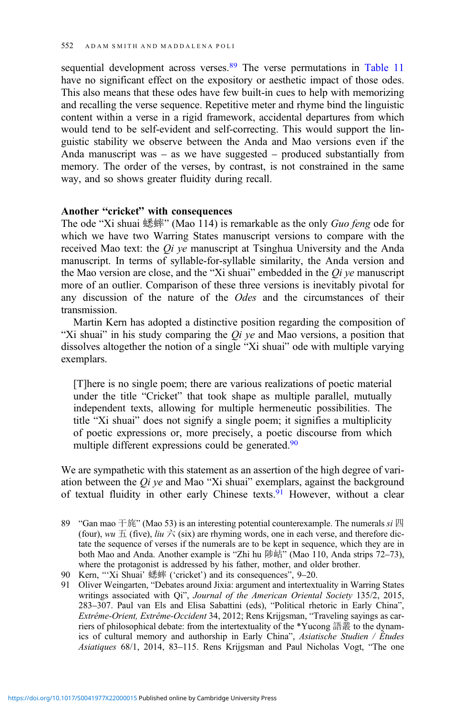sequential development across verses.<sup>89</sup> The verse permutations in [Table 11](#page-36-0) have no significant effect on the expository or aesthetic impact of those odes. This also means that these odes have few built-in cues to help with memorizing and recalling the verse sequence. Repetitive meter and rhyme bind the linguistic content within a verse in a rigid framework, accidental departures from which would tend to be self-evident and self-correcting. This would support the linguistic stability we observe between the Anda and Mao versions even if the Anda manuscript was – as we have suggested – produced substantially from memory. The order of the verses, by contrast, is not constrained in the same way, and so shows greater fluidity during recall.

## Another "cricket" with consequences

The ode "Xi shuai 蟋蟀" (Mao 114) is remarkable as the only Guo feng ode for which we have two Warring States manuscript versions to compare with the received Mao text: the  $Qi$  ye manuscript at Tsinghua University and the Anda manuscript. In terms of syllable-for-syllable similarity, the Anda version and the Mao version are close, and the "Xi shuai" embedded in the  $Qi$  ye manuscript more of an outlier. Comparison of these three versions is inevitably pivotal for any discussion of the nature of the Odes and the circumstances of their transmission.

Martin Kern has adopted a distinctive position regarding the composition of "Xi shuai" in his study comparing the  $Qi$  ye and Mao versions, a position that dissolves altogether the notion of a single "Xi shuai" ode with multiple varying exemplars.

[T]here is no single poem; there are various realizations of poetic material under the title "Cricket" that took shape as multiple parallel, mutually independent texts, allowing for multiple hermeneutic possibilities. The title "Xi shuai" does not signify a single poem; it signifies a multiplicity of poetic expressions or, more precisely, a poetic discourse from which multiple different expressions could be generated.<sup>90</sup>

We are sympathetic with this statement as an assertion of the high degree of variation between the  $Qi$  ye and Mao "Xi shuai" exemplars, against the background of textual fluidity in other early Chinese texts.91 However, without a clear

<sup>89 &</sup>quot;Gan mao 干旄" (Mao 53) is an interesting potential counterexample. The numerals  $si \mathbb{Z}$ (four), wu  $\pm$  (five), liu  $\dot{\pm}$  (six) are rhyming words, one in each verse, and therefore dictate the sequence of verses if the numerals are to be kept in sequence, which they are in both Mao and Anda. Another example is "Zhi hu 陟岵" (Mao 110, Anda strips 72–73), where the protagonist is addressed by his father, mother, and older brother.

<sup>90</sup> Kern, "'Xi Shuai' 蟋蟀 ('cricket') and its consequences", 9–20.

<sup>91</sup> Oliver Weingarten, "Debates around Jixia: argument and intertextuality in Warring States writings associated with Qi", Journal of the American Oriental Society 135/2, 2015, 283–307. Paul van Els and Elisa Sabattini (eds), "Political rhetoric in Early China", Extrême-Orient, Extrême-Occident 34, 2012; Rens Krijgsman, "Traveling sayings as carriers of philosophical debate: from the intertextuality of the \*Yucong 語叢 to the dynamics of cultural memory and authorship in Early China", Asiatische Studien / Études Asiatiques 68/1, 2014, 83–115. Rens Krijgsman and Paul Nicholas Vogt, "The one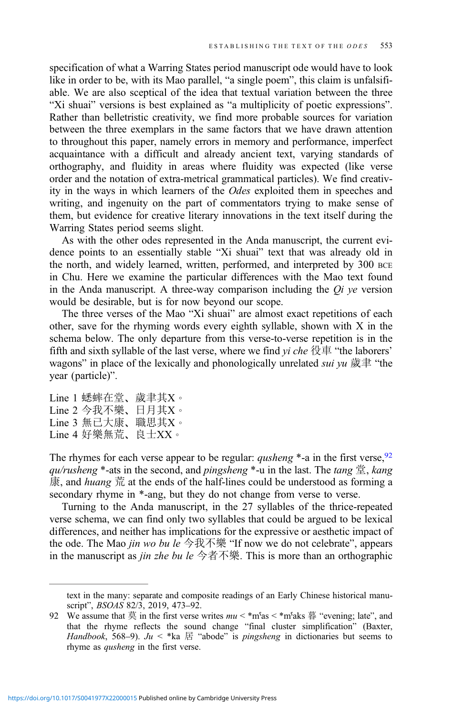specification of what a Warring States period manuscript ode would have to look like in order to be, with its Mao parallel, "a single poem", this claim is unfalsifiable. We are also sceptical of the idea that textual variation between the three "Xi shuai" versions is best explained as "a multiplicity of poetic expressions". Rather than belletristic creativity, we find more probable sources for variation between the three exemplars in the same factors that we have drawn attention to throughout this paper, namely errors in memory and performance, imperfect acquaintance with a difficult and already ancient text, varying standards of orthography, and fluidity in areas where fluidity was expected (like verse order and the notation of extra-metrical grammatical particles). We find creativity in the ways in which learners of the Odes exploited them in speeches and writing, and ingenuity on the part of commentators trying to make sense of them, but evidence for creative literary innovations in the text itself during the Warring States period seems slight.

As with the other odes represented in the Anda manuscript, the current evidence points to an essentially stable "Xi shuai" text that was already old in the north, and widely learned, written, performed, and interpreted by 300 BCE in Chu. Here we examine the particular differences with the Mao text found in the Anda manuscript. A three-way comparison including the  $Qi$  ve version would be desirable, but is for now beyond our scope.

The three verses of the Mao "Xi shuai" are almost exact repetitions of each other, save for the rhyming words every eighth syllable, shown with X in the schema below. The only departure from this verse-to-verse repetition is in the fifth and sixth syllable of the last verse, where we find  $yi$  che 役車 "the laborers' wagons" in place of the lexically and phonologically unrelated *sui* yu 歲聿 "the year (particle)".

```
Line 1 蟋蟀在堂、歲聿其X。
Line 2 今我不樂、日月其X。
Line 3 無已大康、職思其X。
Line 4 好樂無荒、良士XX。
```
The rhymes for each verse appear to be regular: *qusheng*  $*$ -a in the first verse, <sup>92</sup> qu/rusheng \*-ats in the second, and pingsheng \*-u in the last. The tang  $\ddot{\Xi}$ , kang 康, and huang 荒 at the ends of the half-lines could be understood as forming a secondary rhyme in \*-ang, but they do not change from verse to verse.

Turning to the Anda manuscript, in the 27 syllables of the thrice-repeated verse schema, we can find only two syllables that could be argued to be lexical differences, and neither has implications for the expressive or aesthetic impact of the ode. The Mao *jin wo bu le* 今我不樂 "If now we do not celebrate", appears in the manuscript as *jin zhe bu le* 今者不樂. This is more than an orthographic

text in the many: separate and composite readings of an Early Chinese historical manuscript", BSOAS 82/3, 2019, 473–92.

<sup>92</sup> We assume that  $\ddot{\mathcal{F}}$  in the first verse writes  $mu < \pi$  m<sup>s</sup>as  $\ddot{\mathcal{F}}$  as "evening; late", and that the rhyme reflects the sound change "final cluster simplification" (Baxter, Handbook, 568–9). Ju < \*ka  $\mathbb E$  "abode" is pingsheng in dictionaries but seems to rhyme as *qusheng* in the first verse.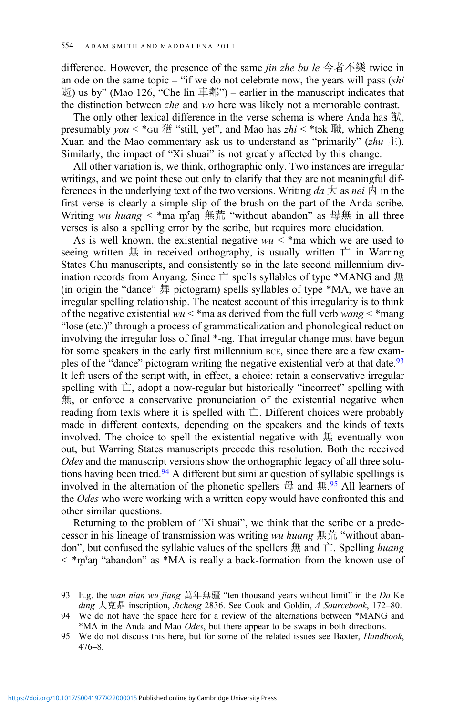difference. However, the presence of the same *jin zhe bu le* 今者不樂 twice in an ode on the same topic – "if we do not celebrate now, the years will pass  $\kappa(s)$ 逝) us by" (Mao 126, "Che lin 車鄰") – earlier in the manuscript indicates that the distinction between zhe and wo here was likely not a memorable contrast.

The only other lexical difference in the verse schema is where Anda has 猷, presumably  $you < *$ Gu 猶 "still, yet", and Mao has  $zhi < *$ tәk 職, which Zheng Xuan and the Mao commentary ask us to understand as "primarily" (zhu  $\pm$ ). Similarly, the impact of "Xi shuai" is not greatly affected by this change.

All other variation is, we think, orthographic only. Two instances are irregular writings, and we point these out only to clarify that they are not meaningful differences in the underlying text of the two versions. Writing  $da \nightharpoondown$  as nei  $\uparrow$  in the first verse is clearly a simple slip of the brush on the part of the Anda scribe. Writing wu huang < \*ma m<sup>s</sup>an 無荒 "without abandon" as 母無 in all three verses is also a spelling error by the scribe, but requires more elucidation.

As is well known, the existential negative  $wu < *$  ma which we are used to seeing written  $#$  in received orthography, is usually written  $\dot{\sqsubset}$  in Warring States Chu manuscripts, and consistently so in the late second millennium divination records from Anyang. Since  $\dot{\sqsubset}$  spells syllables of type \*MANG and  $\ddot{\text{m}}$ (in origin the "dance" 舞 pictogram) spells syllables of type \*MA, we have an irregular spelling relationship. The neatest account of this irregularity is to think of the negative existential  $wu <$ \*ma as derived from the full verb wang  $\lt$ \*mang "lose (etc.)" through a process of grammaticalization and phonological reduction involving the irregular loss of final \*-ng. That irregular change must have begun for some speakers in the early first millennium BCE, since there are a few examples of the "dance" pictogram writing the negative existential verb at that date.<sup>93</sup> It left users of the script with, in effect, a choice: retain a conservative irregular spelling with  $\dot{\sqsubset}$ , adopt a now-regular but historically "incorrect" spelling with 無, or enforce a conservative pronunciation of the existential negative when reading from texts where it is spelled with  $\dot{\sqsubset}$ . Different choices were probably made in different contexts, depending on the speakers and the kinds of texts involved. The choice to spell the existential negative with 無 eventually won out, but Warring States manuscripts precede this resolution. Both the received Odes and the manuscript versions show the orthographic legacy of all three solutions having been tried.<sup>94</sup> A different but similar question of syllabic spellings is involved in the alternation of the phonetic spellers  $\boxplus$  and  $\text{\#.}^{95}$  All learners of the *Odes* who were working with a written copy would have confronted this and other similar questions.

Returning to the problem of "Xi shuai", we think that the scribe or a predecessor in his lineage of transmission was writing wu huang  $\frac{m}{m}$  and "without abandon", but confused the syllabic values of the spellers  $\#$  and  $\dot{\sqsubset}$ . Spelling *huang*  $\langle \rangle$  \*m̥ s<sup>a</sup>n "abandon" as \*MA is really a back-formation from the known use of

<sup>93</sup> E.g. the wan nian wu jiang 萬年無疆 "ten thousand years without limit" in the Da Ke ding 大克鼎 inscription, Jicheng 2836. See Cook and Goldin, A Sourcebook, 172–80.

<sup>94</sup> We do not have the space here for a review of the alternations between \*MANG and \*MA in the Anda and Mao Odes, but there appear to be swaps in both directions.

<sup>95</sup> We do not discuss this here, but for some of the related issues see Baxter, *Handbook*, 476–8.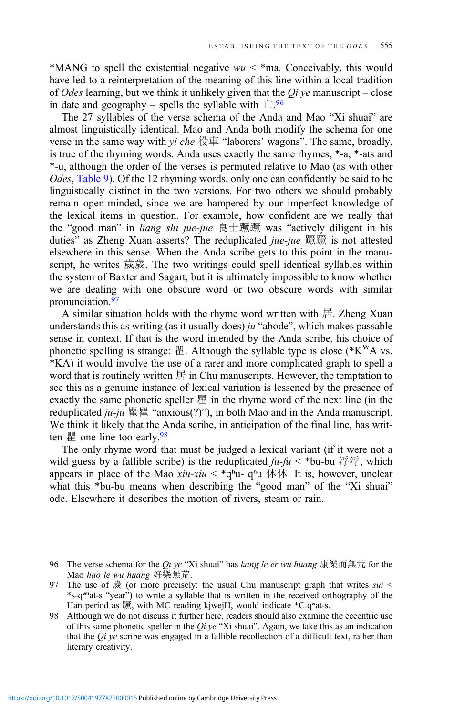\*MANG to spell the existential negative  $wu < *$  ma. Conceivably, this would have led to a reinterpretation of the meaning of this line within a local tradition of Odes learning, but we think it unlikely given that the  $Qi$  ye manuscript – close in date and geography – spells the syllable with  $\dot{\mathbb{L}}$ .<sup>96</sup>

The 27 syllables of the verse schema of the Anda and Mao "Xi shuai" are almost linguistically identical. Mao and Anda both modify the schema for one verse in the same way with *yi che* 役車 "laborers' wagons". The same, broadly, is true of the rhyming words. Anda uses exactly the same rhymes, \*-a, \*-ats and \*-u, although the order of the verses is permuted relative to Mao (as with other Odes, [Table 9](#page-30-0)). Of the 12 rhyming words, only one can confidently be said to be linguistically distinct in the two versions. For two others we should probably remain open-minded, since we are hampered by our imperfect knowledge of the lexical items in question. For example, how confident are we really that the "good man" in liang shi jue-jue 良士蹶蹶 was "actively diligent in his duties" as Zheng Xuan asserts? The reduplicated *jue-jue* 蹶蹶 is not attested elsewhere in this sense. When the Anda scribe gets to this point in the manuscript, he writes 歲歲. The two writings could spell identical syllables within the system of Baxter and Sagart, but it is ultimately impossible to know whether we are dealing with one obscure word or two obscure words with similar pronunciation.97

A similar situation holds with the rhyme word written with 居. Zheng Xuan understands this as writing (as it usually does)  $ju$  "abode", which makes passable sense in context. If that is the word intended by the Anda scribe, his choice of phonetic spelling is strange: 瞿. Although the syllable type is close ( $*K^{W}A$  vs. \*KA) it would involve the use of a rarer and more complicated graph to spell a word that is routinely written  $\mathbb E$  in Chu manuscripts. However, the temptation to see this as a genuine instance of lexical variation is lessened by the presence of exactly the same phonetic speller 瞿 in the rhyme word of the next line (in the reduplicated  $ju$ -ju 瞿瞿 "anxious(?)"), in both Mao and in the Anda manuscript. We think it likely that the Anda scribe, in anticipation of the final line, has written  $\mathbb{E}$  one line too early.<sup>98</sup>

The only rhyme word that must be judged a lexical variant (if it were not a wild guess by a fallible scribe) is the reduplicated  $\hat{u}$ - $\hat{u}$  < \*bu-bu  $\hat{\mathcal{F}}\hat{\mathcal{F}}$ , which appears in place of the Mao xiu-xiu < \*q\*u- q\*u 休休. It is, however, unclear what this \*bu-bu means when describing the "good man" of the "Xi shuai" ode. Elsewhere it describes the motion of rivers, steam or rain.

<sup>96</sup> The verse schema for the *Oi ve* "Xi shuai" has *kang le er wu huang* 康樂而無荒 for the Mao hao le wu huang 好樂無荒.

<sup>97</sup> The use of  $\frac{1}{60}$  (or more precisely: the usual Chu manuscript graph that writes sui < \*s-qʷʰat-s "year") to write a syllable that is written in the received orthography of the Han period as 蹶, with MC reading kjwejH, would indicate \*C.qwat-s.

<sup>98</sup> Although we do not discuss it further here, readers should also examine the eccentric use of this same phonetic speller in the  $Qi$  ye "Xi shuai". Again, we take this as an indication that the  $Qi$  ye scribe was engaged in a fallible recollection of a difficult text, rather than literary creativity.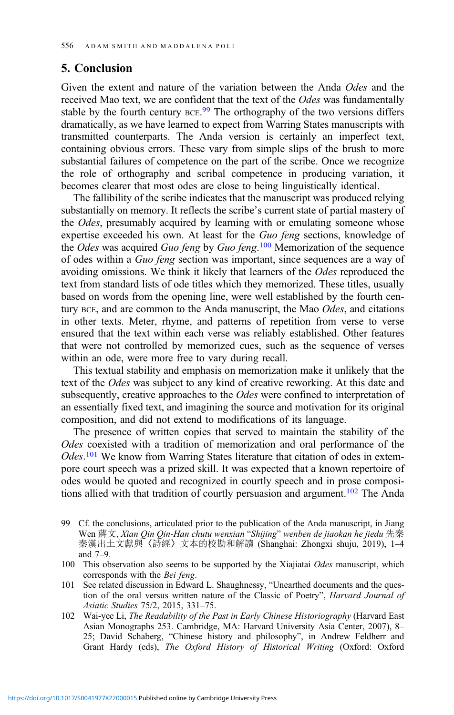# 5. Conclusion

Given the extent and nature of the variation between the Anda Odes and the received Mao text, we are confident that the text of the Odes was fundamentally stable by the fourth century BCE.<sup>99</sup> The orthography of the two versions differs dramatically, as we have learned to expect from Warring States manuscripts with transmitted counterparts. The Anda version is certainly an imperfect text, containing obvious errors. These vary from simple slips of the brush to more substantial failures of competence on the part of the scribe. Once we recognize the role of orthography and scribal competence in producing variation, it becomes clearer that most odes are close to being linguistically identical.

The fallibility of the scribe indicates that the manuscript was produced relying substantially on memory. It reflects the scribe's current state of partial mastery of the Odes, presumably acquired by learning with or emulating someone whose expertise exceeded his own. At least for the Guo feng sections, knowledge of the Odes was acquired Guo feng by Guo feng.<sup>100</sup> Memorization of the sequence of odes within a Guo feng section was important, since sequences are a way of avoiding omissions. We think it likely that learners of the Odes reproduced the text from standard lists of ode titles which they memorized. These titles, usually based on words from the opening line, were well established by the fourth century BCE, and are common to the Anda manuscript, the Mao Odes, and citations in other texts. Meter, rhyme, and patterns of repetition from verse to verse ensured that the text within each verse was reliably established. Other features that were not controlled by memorized cues, such as the sequence of verses within an ode, were more free to vary during recall.

This textual stability and emphasis on memorization make it unlikely that the text of the Odes was subject to any kind of creative reworking. At this date and subsequently, creative approaches to the *Odes* were confined to interpretation of an essentially fixed text, and imagining the source and motivation for its original composition, and did not extend to modifications of its language.

The presence of written copies that served to maintain the stability of the Odes coexisted with a tradition of memorization and oral performance of the Odes.<sup>101</sup> We know from Warring States literature that citation of odes in extempore court speech was a prized skill. It was expected that a known repertoire of odes would be quoted and recognized in courtly speech and in prose compositions allied with that tradition of courtly persuasion and argument.<sup>102</sup> The Anda

- 101 See related discussion in Edward L. Shaughnessy, "Unearthed documents and the question of the oral versus written nature of the Classic of Poetry", Harvard Journal of Asiatic Studies 75/2, 2015, 331–75.
- 102 Wai-yee Li, The Readability of the Past in Early Chinese Historiography (Harvard East Asian Monographs 253. Cambridge, MA: Harvard University Asia Center, 2007), 8– 25; David Schaberg, "Chinese history and philosophy", in Andrew Feldherr and Grant Hardy (eds), The Oxford History of Historical Writing (Oxford: Oxford

<sup>99</sup> Cf. the conclusions, articulated prior to the publication of the Anda manuscript, in Jiang Wen 蔣文, Xian Qin Qin-Han chutu wenxian "Shijing" wenben de jiaokan he jiedu 先秦 秦漢出土文獻與〈詩經〉文本的校勘和解讀 (Shanghai: Zhongxi shuju, 2019), 1–4 and 7–9.

<sup>100</sup> This observation also seems to be supported by the Xiajiatai Odes manuscript, which corresponds with the Bei feng.